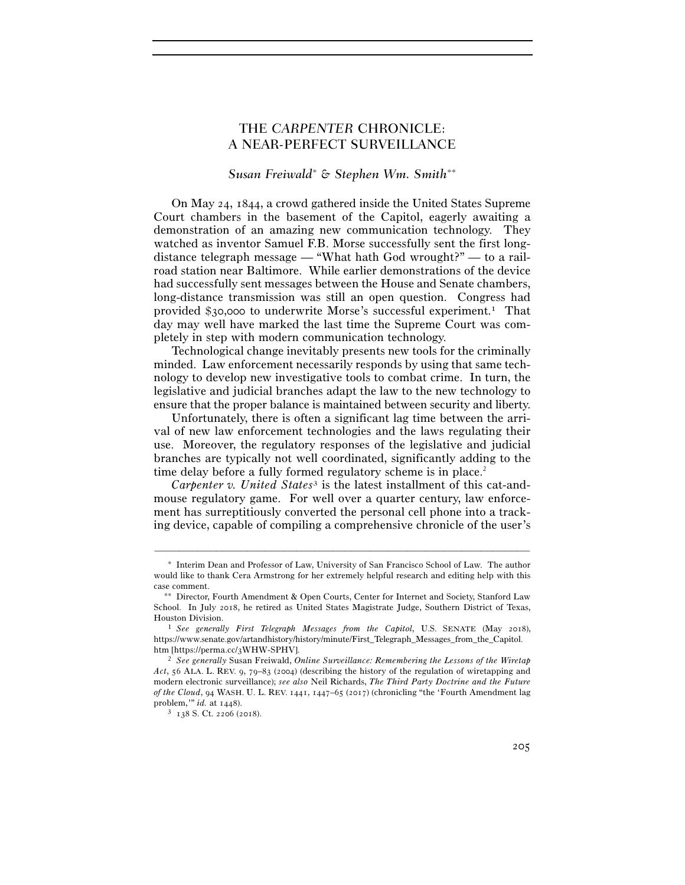# THE *CARPENTER* CHRONICLE: A NEAR-PERFECT SURVEILLANCE

# *Susan Freiwald*<sup>∗</sup>  *& Stephen Wm. Smith*∗∗

On May 24, 1844, a crowd gathered inside the United States Supreme Court chambers in the basement of the Capitol, eagerly awaiting a demonstration of an amazing new communication technology. They watched as inventor Samuel F.B. Morse successfully sent the first longdistance telegraph message — "What hath God wrought?" — to a railroad station near Baltimore. While earlier demonstrations of the device had successfully sent messages between the House and Senate chambers, long-distance transmission was still an open question. Congress had provided \$30,000 to underwrite Morse's successful experiment.1 That day may well have marked the last time the Supreme Court was completely in step with modern communication technology.

Technological change inevitably presents new tools for the criminally minded. Law enforcement necessarily responds by using that same technology to develop new investigative tools to combat crime. In turn, the legislative and judicial branches adapt the law to the new technology to ensure that the proper balance is maintained between security and liberty.

Unfortunately, there is often a significant lag time between the arrival of new law enforcement technologies and the laws regulating their use. Moreover, the regulatory responses of the legislative and judicial branches are typically not well coordinated, significantly adding to the time delay before a fully formed regulatory scheme is in place.<sup>2</sup>

*Carpenter v. United States*3 is the latest installment of this cat-andmouse regulatory game. For well over a quarter century, law enforcement has surreptitiously converted the personal cell phone into a tracking device, capable of compiling a comprehensive chronicle of the user's

<sup>∗</sup> Interim Dean and Professor of Law, University of San Francisco School of Law. The author would like to thank Cera Armstrong for her extremely helpful research and editing help with this case comment.

<sup>∗∗</sup> Director, Fourth Amendment & Open Courts, Center for Internet and Society, Stanford Law School. In July 2018, he retired as United States Magistrate Judge, Southern District of Texas, Houston Division. 1 *See generally First Telegraph Messages from the Capitol*, U.S. SENATE (May 2018),

https://www.senate.gov/artandhistory/history/minute/First\_Telegraph\_Messages\_from\_the\_Capitol. htm [https://perma.cc/<sup>3</sup>WHW-SPHV]. 2 *See generally* Susan Freiwald, *Online Surveillance: Remembering the Lessons of the Wiretap* 

*Act*, 56 ALA. L. REV. 9, 79–83 (2004) (describing the history of the regulation of wiretapping and modern electronic surveillance); *see also* Neil Richards, *The Third Party Doctrine and the Future of the Cloud*, 94 WASH. U. L. REV. 1441, 1447–65 (2017) (chronicling "the 'Fourth Amendment lag problem," id. at 1448).

<sup>&</sup>lt;sup>3</sup> 138 S. Ct. 2206 (2018).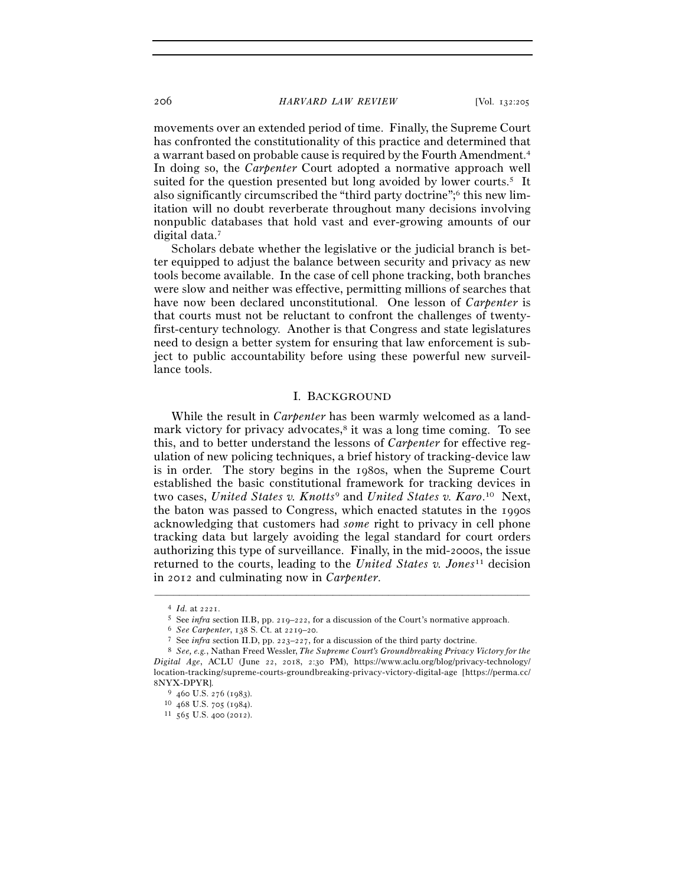## 206 *HARVARD LAW REVIEW* [Vol. 132:<sup>205</sup>

movements over an extended period of time. Finally, the Supreme Court has confronted the constitutionality of this practice and determined that a warrant based on probable cause is required by the Fourth Amendment.4 In doing so, the *Carpenter* Court adopted a normative approach well suited for the question presented but long avoided by lower courts.5 It also significantly circumscribed the "third party doctrine";6 this new limitation will no doubt reverberate throughout many decisions involving nonpublic databases that hold vast and ever-growing amounts of our digital data.7

Scholars debate whether the legislative or the judicial branch is better equipped to adjust the balance between security and privacy as new tools become available. In the case of cell phone tracking, both branches were slow and neither was effective, permitting millions of searches that have now been declared unconstitutional. One lesson of *Carpenter* is that courts must not be reluctant to confront the challenges of twentyfirst-century technology. Another is that Congress and state legislatures need to design a better system for ensuring that law enforcement is subject to public accountability before using these powerful new surveillance tools.

## I. BACKGROUND

While the result in *Carpenter* has been warmly welcomed as a landmark victory for privacy advocates, $\delta$  it was a long time coming. To see this, and to better understand the lessons of *Carpenter* for effective regulation of new policing techniques, a brief history of tracking-device law is in order. The story begins in the 1980s, when the Supreme Court established the basic constitutional framework for tracking devices in two cases, *United States v. Knotts*9 and *United States v. Karo*. 10 Next, the baton was passed to Congress, which enacted statutes in the 1990s acknowledging that customers had *some* right to privacy in cell phone tracking data but largely avoiding the legal standard for court orders authorizing this type of surveillance. Finally, in the mid-2000s, the issue returned to the courts, leading to the *United States v. Jones*11 decision in 2012 and culminating now in *Carpenter*.

<sup>&</sup>lt;sup>4</sup> *Id.* at 2221.<br>
<sup>5</sup> See *infra* section II.B, pp. 219–222, for a discussion of the Court's normative approach.<br>
<sup>6</sup> See Carpenter, 138 S. Ct. at 2219–20.<br>
<sup>7</sup> See *infra* section II.D, pp. 223–227, for a discussion of *Digital Age*, ACLU (June 22, 2018, 2:30 PM), https://www.aclu.org/blog/privacy-technology/ location-tracking/supreme-courts-groundbreaking-privacy-victory-digital-age [https://perma.cc/ <sup>8</sup>NYX-DPYR]. 9 <sup>460</sup> U.S. 276 (<sup>1983</sup>). 10 <sup>468</sup> U.S. 705 (<sup>1984</sup>). 11 <sup>565</sup> U.S. 400 (2012).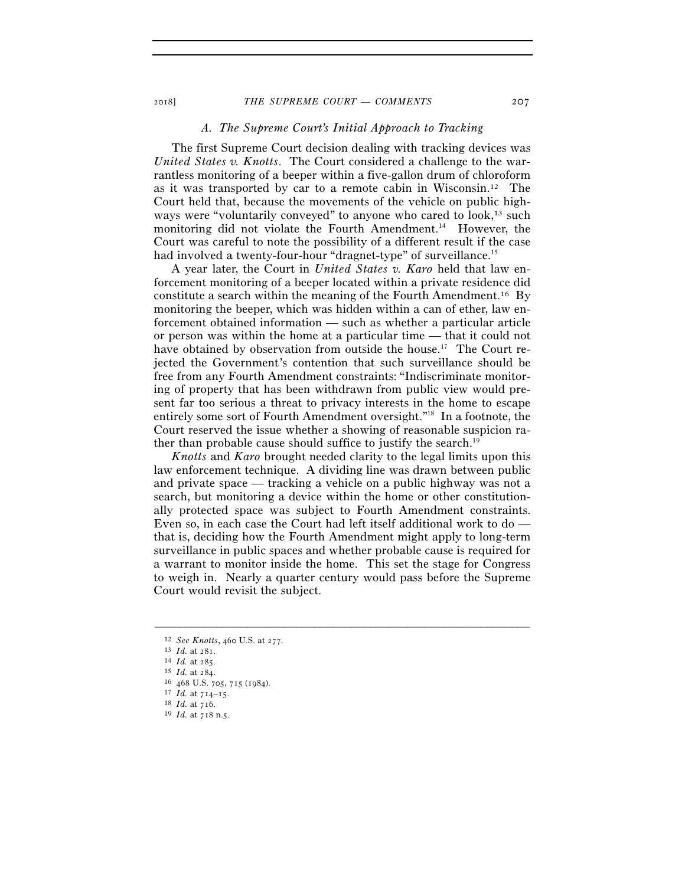## *A. The Supreme Court's Initial Approach to Tracking*

The first Supreme Court decision dealing with tracking devices was *United States v. Knotts*. The Court considered a challenge to the warrantless monitoring of a beeper within a five-gallon drum of chloroform as it was transported by car to a remote cabin in Wisconsin.12 The Court held that, because the movements of the vehicle on public highways were "voluntarily conveyed" to anyone who cared to look,<sup>13</sup> such monitoring did not violate the Fourth Amendment.<sup>14</sup> However, the Court was careful to note the possibility of a different result if the case had involved a twenty-four-hour "dragnet-type" of surveillance.<sup>15</sup>

A year later, the Court in *United States v. Karo* held that law enforcement monitoring of a beeper located within a private residence did constitute a search within the meaning of the Fourth Amendment.16 By monitoring the beeper, which was hidden within a can of ether, law enforcement obtained information — such as whether a particular article or person was within the home at a particular time — that it could not have obtained by observation from outside the house.<sup>17</sup> The Court rejected the Government's contention that such surveillance should be free from any Fourth Amendment constraints: "Indiscriminate monitoring of property that has been withdrawn from public view would present far too serious a threat to privacy interests in the home to escape entirely some sort of Fourth Amendment oversight."18 In a footnote, the Court reserved the issue whether a showing of reasonable suspicion rather than probable cause should suffice to justify the search.<sup>19</sup>

*Knotts* and *Karo* brought needed clarity to the legal limits upon this law enforcement technique. A dividing line was drawn between public and private space — tracking a vehicle on a public highway was not a search, but monitoring a device within the home or other constitutionally protected space was subject to Fourth Amendment constraints. Even so, in each case the Court had left itself additional work to do that is, deciding how the Fourth Amendment might apply to long-term surveillance in public spaces and whether probable cause is required for a warrant to monitor inside the home. This set the stage for Congress to weigh in. Nearly a quarter century would pass before the Supreme Court would revisit the subject.

<sup>12</sup> *See Knotts*, 460 U.S. at 277.<br>
13 *Id.* at 281.<br>
14 *Id.* at 285.<br>
15 *Id.* at 284.<br>
16 468 U.S. 705, 715 (1984).<br>
17 *Id.* at 714–15.<br>
18 *Id.* at 716.<br>
19 *Id.* at 718 n.5.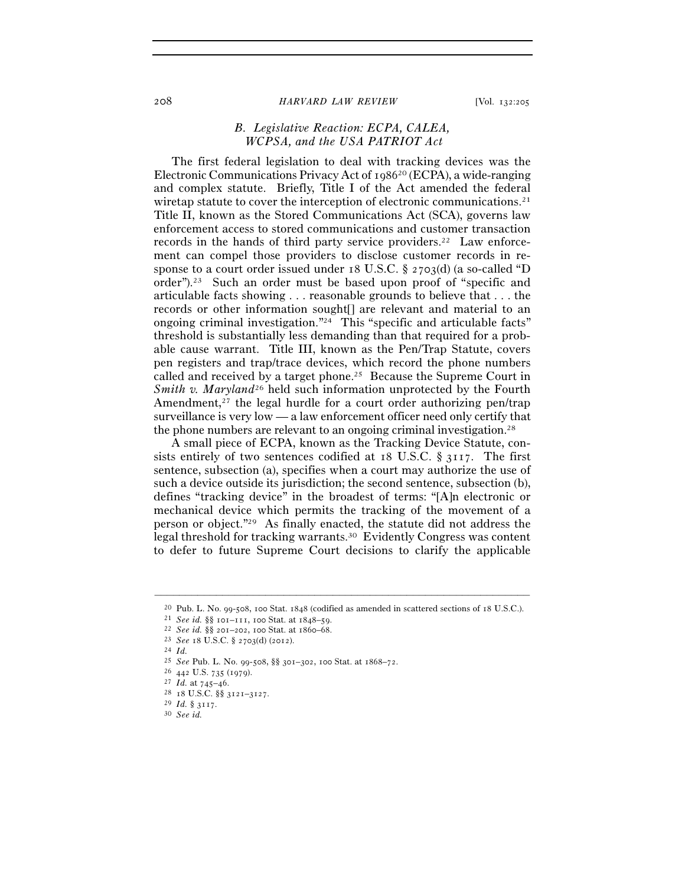#### 208 *HARVARD LAW REVIEW* [Vol. 132:<sup>205</sup>

# *B. Legislative Reaction: ECPA, CALEA, WCPSA, and the USA PATRIOT Act*

The first federal legislation to deal with tracking devices was the Electronic Communications Privacy Act of 198620 (ECPA), a wide-ranging and complex statute. Briefly, Title I of the Act amended the federal wiretap statute to cover the interception of electronic communications.<sup>21</sup> Title II, known as the Stored Communications Act (SCA), governs law enforcement access to stored communications and customer transaction records in the hands of third party service providers.22 Law enforcement can compel those providers to disclose customer records in response to a court order issued under 18 U.S.C. § 2703(d) (a so-called "D order").23 Such an order must be based upon proof of "specific and articulable facts showing . . . reasonable grounds to believe that . . . the records or other information sought[] are relevant and material to an ongoing criminal investigation."24 This "specific and articulable facts" threshold is substantially less demanding than that required for a probable cause warrant. Title III, known as the Pen/Trap Statute, covers pen registers and trap/trace devices, which record the phone numbers called and received by a target phone.25 Because the Supreme Court in *Smith v. Maryland*<sup>26</sup> held such information unprotected by the Fourth Amendment, $27$  the legal hurdle for a court order authorizing pen/trap surveillance is very low — a law enforcement officer need only certify that the phone numbers are relevant to an ongoing criminal investigation.28

A small piece of ECPA, known as the Tracking Device Statute, consists entirely of two sentences codified at 18 U.S.C.  $\S$  3117. The first sentence, subsection (a), specifies when a court may authorize the use of such a device outside its jurisdiction; the second sentence, subsection (b), defines "tracking device" in the broadest of terms: "[A]n electronic or mechanical device which permits the tracking of the movement of a person or object."29 As finally enacted, the statute did not address the legal threshold for tracking warrants.30 Evidently Congress was content to defer to future Supreme Court decisions to clarify the applicable

<sup>–––––––––––––––––––––––––––––––––––––––––––––––––––––––––––––</sup> <sup>20</sup> Pub. L. No. 99-508, 100 Stat. 1848 (codified as amended in scattered sections of 18 U.S.C.).<br>
<sup>21</sup> *See id.* §§ 101–111, 100 Stat. at 1848–59.<br>
<sup>22</sup> *See id.* §§ 201–202, 100 Stat. at 1860–68.<br>
<sup>23</sup> *See* 18 U.S.C. §

<sup>25</sup> *See* Pub. L. No. 99-508, §§ 301–302, 100 Stat. at 1868–<sup>72</sup>. 26 <sup>442</sup> U.S. 735 (<sup>1979</sup>). 27 *Id.* at 745–<sup>46</sup>. 28 <sup>18</sup> U.S.C. §§ 3121–<sup>3127</sup>. 29 *Id.* § <sup>3117</sup>. 30 *See id.*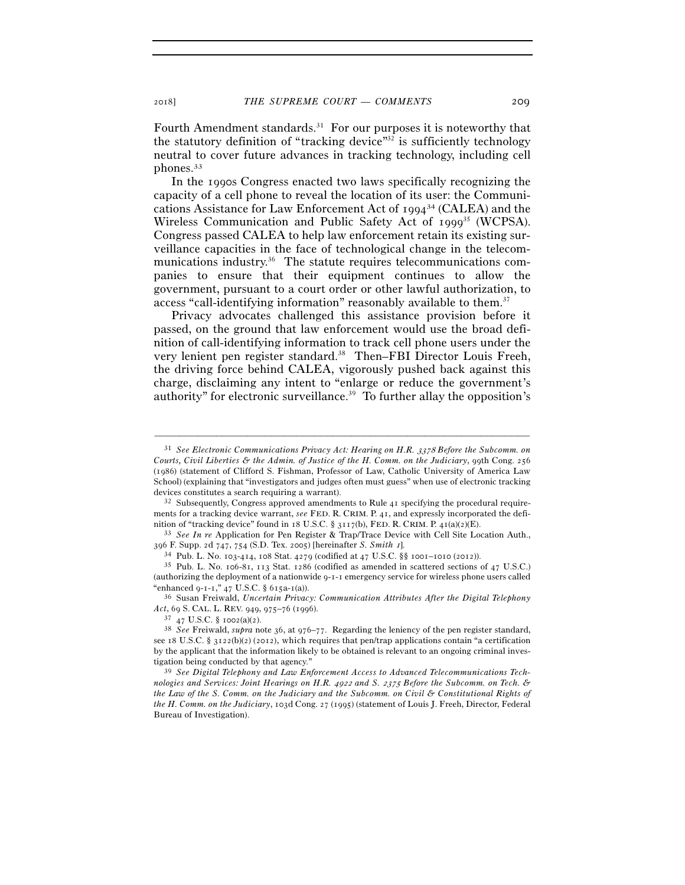Fourth Amendment standards.<sup>31</sup> For our purposes it is noteworthy that the statutory definition of "tracking device" $32$  is sufficiently technology neutral to cover future advances in tracking technology, including cell phones.33

In the 1990s Congress enacted two laws specifically recognizing the capacity of a cell phone to reveal the location of its user: the Communications Assistance for Law Enforcement Act of 199434 (CALEA) and the Wireless Communication and Public Safety Act of 1999<sup>35</sup> (WCPSA). Congress passed CALEA to help law enforcement retain its existing surveillance capacities in the face of technological change in the telecommunications industry.<sup>36</sup> The statute requires telecommunications companies to ensure that their equipment continues to allow the government, pursuant to a court order or other lawful authorization, to access "call-identifying information" reasonably available to them.<sup>37</sup>

Privacy advocates challenged this assistance provision before it passed, on the ground that law enforcement would use the broad definition of call-identifying information to track cell phone users under the very lenient pen register standard.<sup>38</sup> Then–FBI Director Louis Freeh, the driving force behind CALEA, vigorously pushed back against this charge, disclaiming any intent to "enlarge or reduce the government's authority" for electronic surveillance. $39$  To further allay the opposition's

–––––––––––––––––––––––––––––––––––––––––––––––––––––––––––––

ments for a tracking device warrant, *see* FED. R. CRIM. P. 41, and expressly incorporated the defi-

nition of "tracking device" found in 18 U.S.C. § 3117(b), FED. R. CRIM. P. 41(a)(2)(E).<br><sup>33</sup> *See In re* Application for Pen Register & Trap/Trace Device with Cell Site Location Auth., 396 F. Supp. 2d 747, 754 (S.D. Tex. 2005) [hereinafter *S. Smith 1*].<br><sup>34</sup> Pub. L. No. 103-414, 108 Stat. 4279 (codified at 47 U.S.C. §§ 1001–1010 (2012)).<br><sup>35</sup> Pub. L. No. 106-81, 113 Stat. 1286 (codified as amended in s

(authorizing the deployment of a nationwide 9-1-1 emergency service for wireless phone users called "enhanced 9-1-1," 47 U.S.C. § 615a-1(a)).

<sup>36</sup> Susan Freiwald, *Uncertain Privacy: Communication Attributes After the Digital Telephony Act*, 69 S. CAL. L. REV. 949, 975–76 (<sup>1996</sup>). 37 <sup>47</sup> U.S.C. § 1002(a)(<sup>2</sup>). 38 *See* Freiwald, *supra* note 36, at 976–77. Regarding the leniency of the pen register standard,

<sup>31</sup> *See Electronic Communications Privacy Act: Hearing on H.R.* 3378 *Before the Subcomm. on Courts, Civil Liberties & the Admin. of Justice of the H. Comm. on the Judiciary*, 99th Cong. 256 (1986) (statement of Clifford S. Fishman, Professor of Law, Catholic University of America Law School) (explaining that "investigators and judges often must guess" when use of electronic tracking devices constitutes a search requiring a warrant).<br><sup>32</sup> Subsequently, Congress approved amendments to Rule 41 specifying the procedural require-

see 18 U.S.C. § 3122(b)(2) (2012), which requires that pen/trap applications contain "a certification by the applicant that the information likely to be obtained is relevant to an ongoing criminal investigation being conducted by that agency." 39 *See Digital Telephony and Law Enforcement Access to Advanced Telecommunications Tech-*

*nologies and Services: Joint Hearings on H.R.* 4922 *and S.* 2375 *Before the Subcomm. on Tech. & the Law of the S. Comm. on the Judiciary and the Subcomm. on Civil & Constitutional Rights of the H. Comm. on the Judiciary*, 103d Cong. 27 (1995) (statement of Louis J. Freeh, Director, Federal Bureau of Investigation).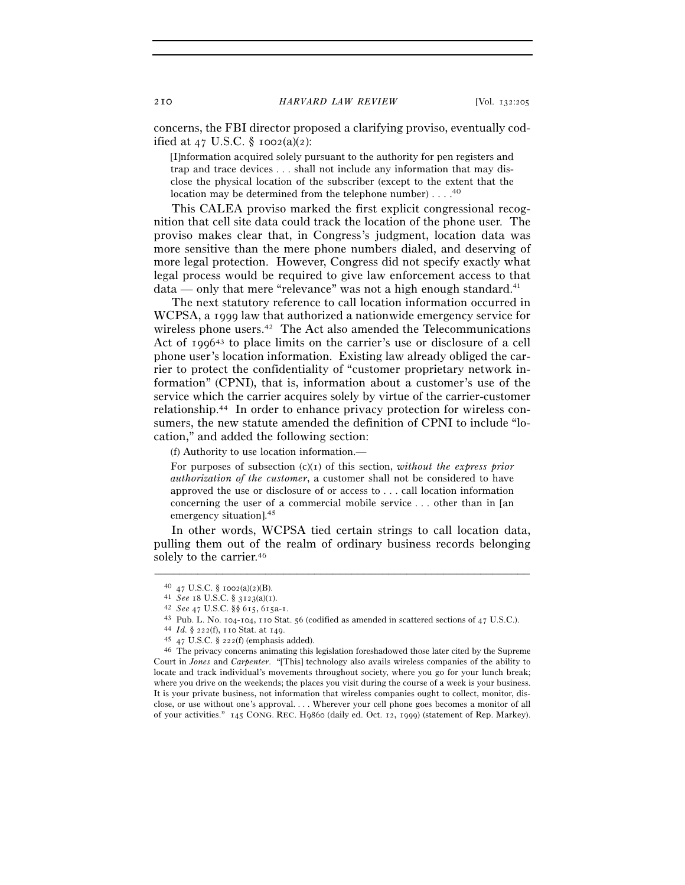concerns, the FBI director proposed a clarifying proviso, eventually codified at 47 U.S.C.  $\S$  1002(a)(2):

[I]nformation acquired solely pursuant to the authority for pen registers and trap and trace devices . . . shall not include any information that may disclose the physical location of the subscriber (except to the extent that the location may be determined from the telephone number) . . . .<sup>40</sup>

This CALEA proviso marked the first explicit congressional recognition that cell site data could track the location of the phone user. The proviso makes clear that, in Congress's judgment, location data was more sensitive than the mere phone numbers dialed, and deserving of more legal protection. However, Congress did not specify exactly what legal process would be required to give law enforcement access to that  $data$  — only that mere "relevance" was not a high enough standard.<sup>41</sup>

The next statutory reference to call location information occurred in WCPSA, a 1999 law that authorized a nationwide emergency service for wireless phone users.<sup>42</sup> The Act also amended the Telecommunications Act of 199643 to place limits on the carrier's use or disclosure of a cell phone user's location information. Existing law already obliged the carrier to protect the confidentiality of "customer proprietary network information" (CPNI), that is, information about a customer's use of the service which the carrier acquires solely by virtue of the carrier-customer relationship.44 In order to enhance privacy protection for wireless consumers, the new statute amended the definition of CPNI to include "location," and added the following section:

(f) Authority to use location information.—

For purposes of subsection (c)(1) of this section, *without the express prior authorization of the customer*, a customer shall not be considered to have approved the use or disclosure of or access to . . . call location information concerning the user of a commercial mobile service . . . other than in [an emergency situation].45

In other words, WCPSA tied certain strings to call location data, pulling them out of the realm of ordinary business records belonging solely to the carrier.<sup>46</sup>

<sup>40 47</sup> U.S.C. § 1002(a)(2)(B).<br>
41 *See* 18 U.S.C. § 3123(a)(1).<br>
42 *See* 47 U.S.C. §§ 615, 615a-1.<br>
43 Pub. L. No. 104-104, 110 Stat. 56 (codified as amended in scattered sections of 47 U.S.C.).<br>
44 *Id*. § 222(f), 110 S Court in *Jones* and *Carpenter*. "[This] technology also avails wireless companies of the ability to locate and track individual's movements throughout society, where you go for your lunch break; where you drive on the weekends; the places you visit during the course of a week is your business. It is your private business, not information that wireless companies ought to collect, monitor, disclose, or use without one's approval. . . . Wherever your cell phone goes becomes a monitor of all of your activities." 145 CONG. REC. H9860 (daily ed. Oct. 12, 1999) (statement of Rep. Markey).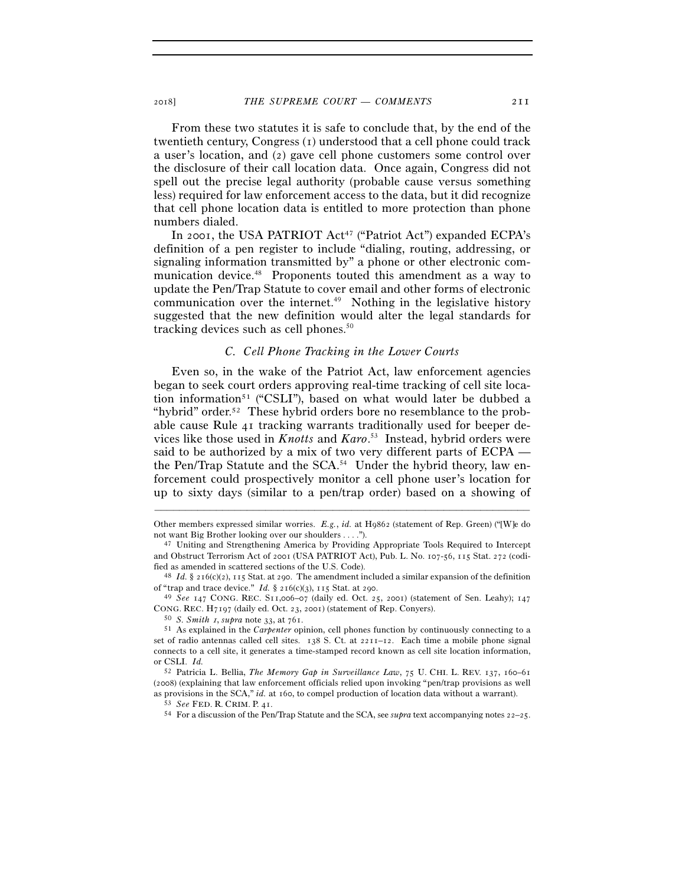From these two statutes it is safe to conclude that, by the end of the twentieth century, Congress (1) understood that a cell phone could track a user's location, and (2) gave cell phone customers some control over the disclosure of their call location data. Once again, Congress did not spell out the precise legal authority (probable cause versus something less) required for law enforcement access to the data, but it did recognize that cell phone location data is entitled to more protection than phone numbers dialed.

In 2001, the USA PATRIOT Act<sup>47</sup> ("Patriot Act") expanded ECPA's definition of a pen register to include "dialing, routing, addressing, or signaling information transmitted by" a phone or other electronic communication device.<sup>48</sup> Proponents touted this amendment as a way to update the Pen/Trap Statute to cover email and other forms of electronic communication over the internet.<sup> $49$ </sup> Nothing in the legislative history suggested that the new definition would alter the legal standards for tracking devices such as cell phones.<sup>50</sup>

# *C. Cell Phone Tracking in the Lower Courts*

Even so, in the wake of the Patriot Act, law enforcement agencies began to seek court orders approving real-time tracking of cell site location information<sup>51</sup> ("CSLI"), based on what would later be dubbed a "hybrid" order.<sup>52</sup> These hybrid orders bore no resemblance to the probable cause Rule 41 tracking warrants traditionally used for beeper devices like those used in *Knotts* and *Karo*. 53 Instead, hybrid orders were said to be authorized by a mix of two very different parts of ECPA the Pen/Trap Statute and the SCA.<sup>54</sup> Under the hybrid theory, law enforcement could prospectively monitor a cell phone user's location for up to sixty days (similar to a pen/trap order) based on a showing of

<sup>–––––––––––––––––––––––––––––––––––––––––––––––––––––––––––––</sup> Other members expressed similar worries. *E.g.*, *id.* at H9862 (statement of Rep. Green) ("[W]e do not want Big Brother looking over our shoulders . . . ."). 47 Uniting and Strengthening America by Providing Appropriate Tools Required to Intercept

and Obstruct Terrorism Act of 2001 (USA PATRIOT Act), Pub. L. No. 107-56, 115 Stat. 272 (codi-

fied as amended in scattered sections of the U.S. Code).<br><sup>48</sup> *Id.* § 216(c)(2), 115 Stat. at 290. The amendment included a similar expansion of the definition of "trap and trace device." *Id.* § 216(c)(3), 115 Stat. at 2

<sup>&</sup>lt;sup>49</sup> See 147 CONG. REC. S11,006–07 (daily ed. Oct. 25, 2001) (statement of Sen. Leahy); 147 CONG. REC. H7197 (daily ed. Oct. 23, 2001) (statement of Rep. Convers).<br><sup>50</sup> *S. Smith 1, supra* note 33, at 761.<br><sup>51</sup> As explained in the *Carpenter* opinion, cell phones function by continuously connecting to a

set of radio antennas called cell sites. 138 S. Ct. at 2211–12. Each time a mobile phone signal connects to a cell site, it generates a time-stamped record known as cell site location information, or CSLI. *Id.*

<sup>52</sup> Patricia L. Bellia, *The Memory Gap in Surveillance Law*, 75 U. CHI. L. REV. 137, 160–61 (2008) (explaining that law enforcement officials relied upon invoking "pen/trap provisions as well as provisions in the SCA," *id.* at 160, to compel production of location data without a warrant).<br><sup>53</sup> See FED. R. CRIM. P. 41.<br><sup>54</sup> For a discussion of the Pen/Trap Statute and the SCA, see *supra* text accompanying not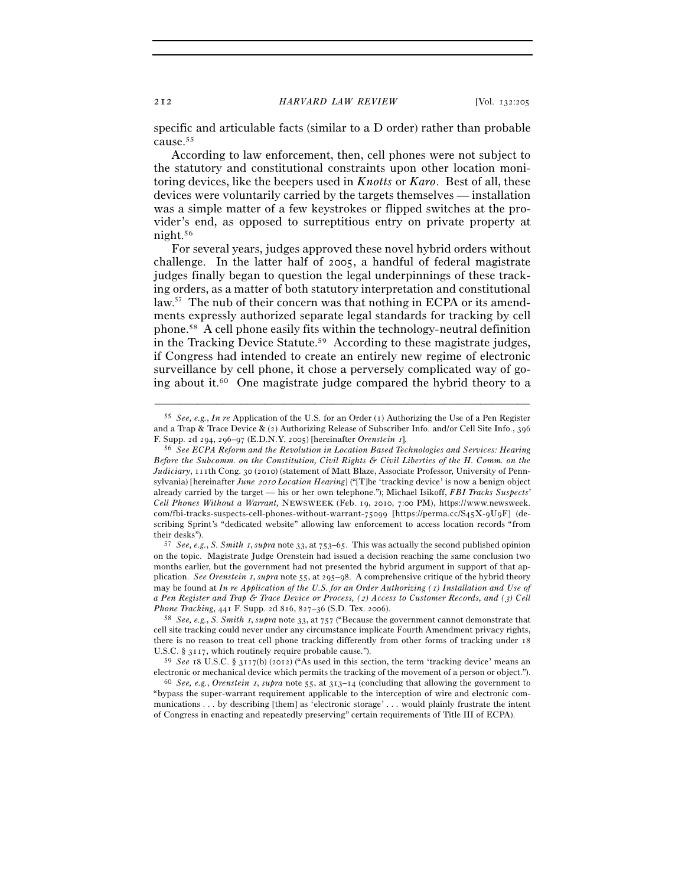specific and articulable facts (similar to a D order) rather than probable cause.55

According to law enforcement, then, cell phones were not subject to the statutory and constitutional constraints upon other location monitoring devices, like the beepers used in *Knotts* or *Karo*. Best of all, these devices were voluntarily carried by the targets themselves — installation was a simple matter of a few keystrokes or flipped switches at the provider's end, as opposed to surreptitious entry on private property at night.56

For several years, judges approved these novel hybrid orders without challenge. In the latter half of 2005, a handful of federal magistrate judges finally began to question the legal underpinnings of these tracking orders, as a matter of both statutory interpretation and constitutional law.<sup>57</sup> The nub of their concern was that nothing in ECPA or its amendments expressly authorized separate legal standards for tracking by cell phone.58 A cell phone easily fits within the technology-neutral definition in the Tracking Device Statute.59 According to these magistrate judges, if Congress had intended to create an entirely new regime of electronic surveillance by cell phone, it chose a perversely complicated way of going about it.60 One magistrate judge compared the hybrid theory to a

–––––––––––––––––––––––––––––––––––––––––––––––––––––––––––––

on the topic. Magistrate Judge Orenstein had issued a decision reaching the same conclusion two months earlier, but the government had not presented the hybrid argument in support of that application. *See Orenstein* 1, *supra* note 55, at 295–98. A comprehensive critique of the hybrid theory may be found at *In re Application of the U.S. for an Order Authorizing (*1*) Installation and Use of a Pen Register and Trap & Trace Device or Process, (*2*) Access to Customer Records, and (*3*) Cell Phone Tracking*, 441 F. Supp. 2d 816, 827–36 (S.D. Tex. <sup>2006</sup>). 58 *See, e.g.*, *S. Smith* 1, *supra* note 33, at 757 ("Because the government cannot demonstrate that

cell site tracking could never under any circumstance implicate Fourth Amendment privacy rights, there is no reason to treat cell phone tracking differently from other forms of tracking under 18 U.S.C. § 3117, which routinely require probable cause.").

<sup>59</sup> *See* 18 U.S.C. § 3117(b) (2012) ("As used in this section, the term 'tracking device' means an

electronic or mechanical device which permits the tracking of the movement of a person or object."). 60 *See, e.g.*, *Orenstein* 1, *supra* note 55, at 313–14 (concluding that allowing the government to "bypass the super-warrant requirement applicable to the interception of wire and electronic communications . . . by describing [them] as 'electronic storage' . . . would plainly frustrate the intent of Congress in enacting and repeatedly preserving" certain requirements of Title III of ECPA).

<sup>55</sup> *See, e.g.*, *In re* Application of the U.S. for an Order (1) Authorizing the Use of a Pen Register and a Trap & Trace Device & (2) Authorizing Release of Subscriber Info. and/or Cell Site Info., 396

F. Supp. 2d 294, 296–97 (E.D.N.Y. 2005) [hereinafter *Orenstein* 1]. 56 *See ECPA Reform and the Revolution in Location Based Technologies and Services: Hearing Before the Subcomm. on the Constitution, Civil Rights & Civil Liberties of the H. Comm. on the Judiciary*, 111th Cong. 30 (2010) (statement of Matt Blaze, Associate Professor, University of Pennsylvania) [hereinafter *June* 2010 *Location Hearing*] ("[T]he 'tracking device' is now a benign object already carried by the target — his or her own telephone."); Michael Isikoff, *FBI Tracks Suspects' Cell Phones Without a Warrant,* NEWSWEEK (Feb. 19, 2010, 7:00 PM), https://www.newsweek. com/fbi-tracks-suspects-cell-phones-without-warrant-75099 [https://perma.cc/S45X-9U9F] (describing Sprint's "dedicated website" allowing law enforcement to access location records "from their desks"). 57 *See, e.g.*, *S. Smith* 1, *supra* note 33, at 753–65. This was actually the second published opinion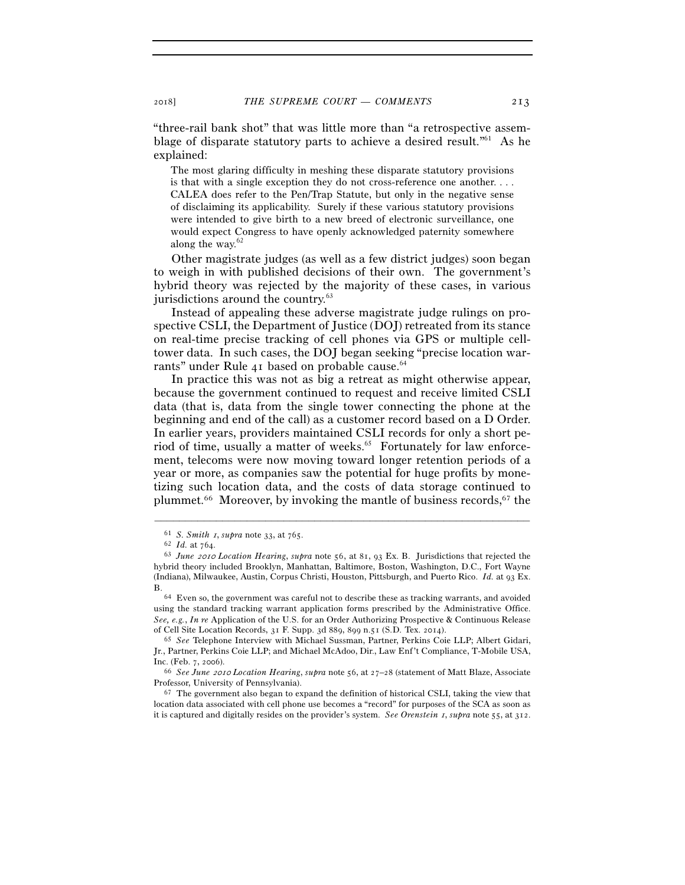"three-rail bank shot" that was little more than "a retrospective assemblage of disparate statutory parts to achieve a desired result.<sup> $n_{1}$ </sup> As he explained:

The most glaring difficulty in meshing these disparate statutory provisions is that with a single exception they do not cross-reference one another. . . . CALEA does refer to the Pen/Trap Statute, but only in the negative sense of disclaiming its applicability. Surely if these various statutory provisions were intended to give birth to a new breed of electronic surveillance, one would expect Congress to have openly acknowledged paternity somewhere along the way. $62$ 

Other magistrate judges (as well as a few district judges) soon began to weigh in with published decisions of their own. The government's hybrid theory was rejected by the majority of these cases, in various jurisdictions around the country.<sup>63</sup>

Instead of appealing these adverse magistrate judge rulings on prospective CSLI, the Department of Justice (DOJ) retreated from its stance on real-time precise tracking of cell phones via GPS or multiple celltower data. In such cases, the DOJ began seeking "precise location warrants" under Rule 41 based on probable cause.<sup>64</sup>

In practice this was not as big a retreat as might otherwise appear, because the government continued to request and receive limited CSLI data (that is, data from the single tower connecting the phone at the beginning and end of the call) as a customer record based on a D Order. In earlier years, providers maintained CSLI records for only a short period of time, usually a matter of weeks.<sup>65</sup> Fortunately for law enforcement, telecoms were now moving toward longer retention periods of a year or more, as companies saw the potential for huge profits by monetizing such location data, and the costs of data storage continued to plummet.66 Moreover, by invoking the mantle of business records,67 the

<sup>61</sup> *S. Smith* 1, *supra* note 33, at <sup>765</sup>. 62 *Id.* at <sup>764</sup>. 63 *June* 2010 *Location Hearing*, *supra* note 56, at 81, 93 Ex. B. Jurisdictions that rejected the hybrid theory included Brooklyn, Manhattan, Baltimore, Boston, Washington, D.C., Fort Wayne (Indiana), Milwaukee, Austin, Corpus Christi, Houston, Pittsburgh, and Puerto Rico. *Id.* at 93 Ex. B. 64 Even so, the government was careful not to describe these as tracking warrants, and avoided

using the standard tracking warrant application forms prescribed by the Administrative Office. *See, e.g.*, *In re* Application of the U.S. for an Order Authorizing Prospective & Continuous Release of Cell Site Location Records, 31 F. Supp. 3d 889, 899 n.51 (S.D. Tex. <sup>2014</sup>). 65 *See* Telephone Interview with Michael Sussman, Partner, Perkins Coie LLP; Albert Gidari,

Jr., Partner, Perkins Coie LLP; and Michael McAdoo, Dir., Law Enf't Compliance, T-Mobile USA,

Inc. (Feb. 7, <sup>2006</sup>). 66 *See June* 2010 *Location Hearing*, *supra* note 56, at 27–28 (statement of Matt Blaze, Associate Professor, University of Pennsylvania). 67 The government also began to expand the definition of historical CSLI, taking the view that

location data associated with cell phone use becomes a "record" for purposes of the SCA as soon as it is captured and digitally resides on the provider's system. *See Orenstein* 1, *supra* note 55, at 312.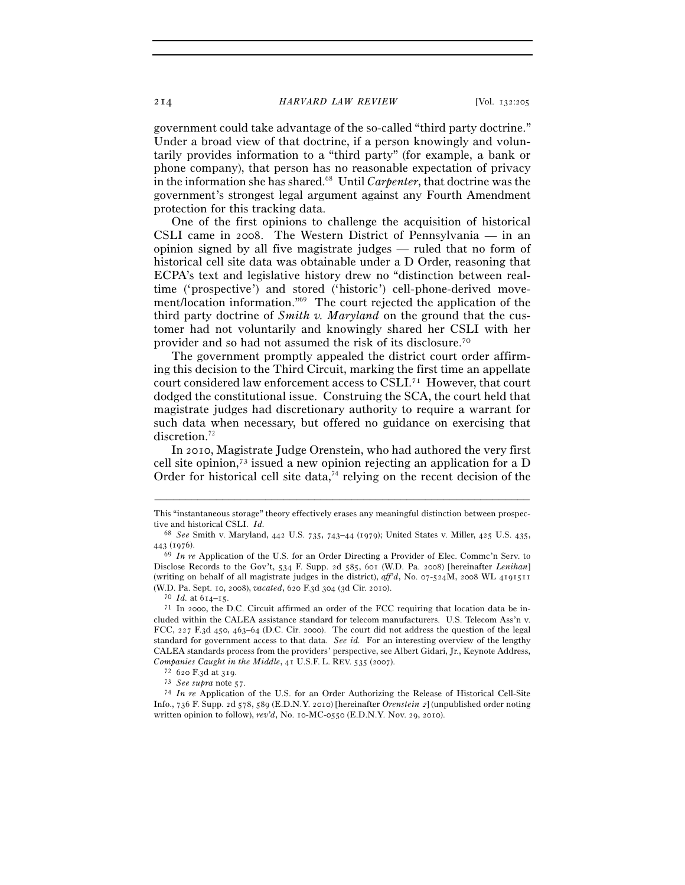## 214 *HARVARD LAW REVIEW* [Vol. 132:<sup>205</sup>

government could take advantage of the so-called "third party doctrine." Under a broad view of that doctrine, if a person knowingly and voluntarily provides information to a "third party" (for example, a bank or phone company), that person has no reasonable expectation of privacy in the information she has shared.68 Until *Carpenter*, that doctrine was the government's strongest legal argument against any Fourth Amendment protection for this tracking data.

One of the first opinions to challenge the acquisition of historical CSLI came in 2008. The Western District of Pennsylvania — in an opinion signed by all five magistrate judges — ruled that no form of historical cell site data was obtainable under a D Order, reasoning that ECPA's text and legislative history drew no "distinction between realtime ('prospective') and stored ('historic') cell-phone-derived movement/location information."69 The court rejected the application of the third party doctrine of *Smith v. Maryland* on the ground that the customer had not voluntarily and knowingly shared her CSLI with her provider and so had not assumed the risk of its disclosure.70

The government promptly appealed the district court order affirming this decision to the Third Circuit, marking the first time an appellate court considered law enforcement access to CSLI.71 However, that court dodged the constitutional issue. Construing the SCA, the court held that magistrate judges had discretionary authority to require a warrant for such data when necessary, but offered no guidance on exercising that discretion.<sup>72</sup>

In 2010, Magistrate Judge Orenstein, who had authored the very first cell site opinion,73 issued a new opinion rejecting an application for a D Order for historical cell site data,<sup>74</sup> relying on the recent decision of the

<sup>–––––––––––––––––––––––––––––––––––––––––––––––––––––––––––––</sup> This "instantaneous storage" theory effectively erases any meaningful distinction between prospective and historical CSLI. *Id.*

<sup>68</sup> *See* Smith v. Maryland, 442 U.S. 735, 743–44 (1979); United States v. Miller, 425 U.S. 435, <sup>443</sup> (<sup>1976</sup>). 69 *In re* Application of the U.S. for an Order Directing a Provider of Elec. Commc'n Serv. to

Disclose Records to the Gov't, 534 F. Supp. 2d 585, 601 (W.D. Pa. 2008) [hereinafter *Lenihan*] (writing on behalf of all magistrate judges in the district), *aff'd*, No. 07-524M, 2008 WL 4191511 (W.D. Pa. Sept. 10, 2008), *vacated*, 620 F.3d 304 (3d Cir. 2010).<br><sup>70</sup> *Id.* at 614–15.<br><sup>71</sup> In 2000, the D.C. Circuit affirmed an order of the FCC requiring that location data be in-

cluded within the CALEA assistance standard for telecom manufacturers. U.S. Telecom Ass'n v. FCC, 227 F.3d 450, 463–64 (D.C. Cir. 2000). The court did not address the question of the legal standard for government access to that data. *See id.* For an interesting overview of the lengthy CALEA standards process from the providers' perspective, see Albert Gidari, Jr., Keynote Address, Companies Caught in the Middle, 41 U.S.F. L. REV. 535 (2007).<br>
<sup>72</sup> 620 F.3d at 319.<br>
<sup>73</sup> *See supra* note 57.<br>
<sup>74</sup> *In re* Application of the U.S. for an Order Authorizing the Release of Historical Cell-Site

Info., 736 F. Supp. 2d 578, 589 (E.D.N.Y. 2010) [hereinafter *Orenstein* 2] (unpublished order noting written opinion to follow), *rev'd*, No. 10-MC-0550 (E.D.N.Y. Nov. 29, 2010).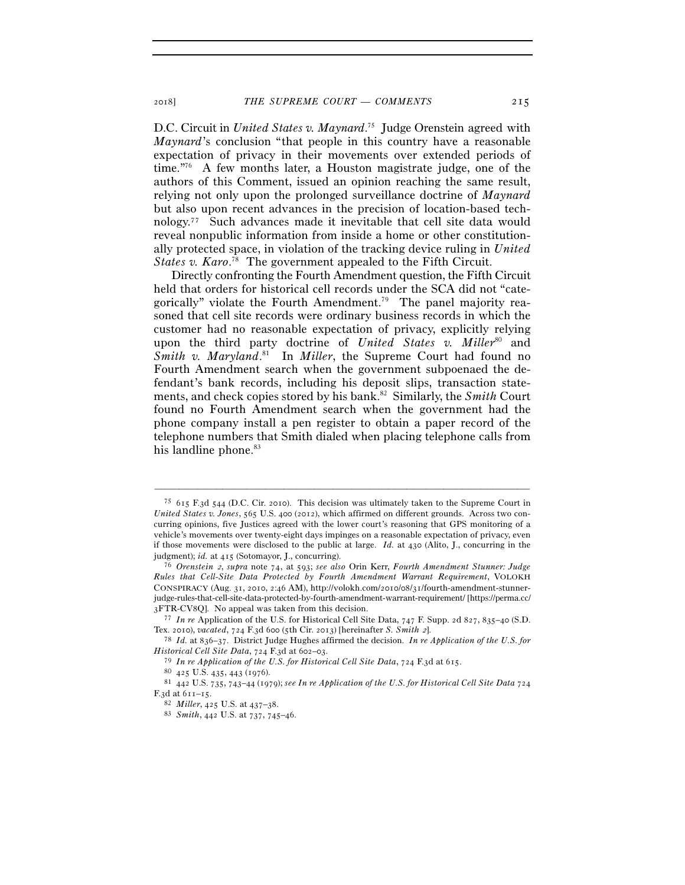D.C. Circuit in *United States v. Maynard*. 75 Judge Orenstein agreed with *Maynard*'s conclusion "that people in this country have a reasonable expectation of privacy in their movements over extended periods of time."76 A few months later, a Houston magistrate judge, one of the authors of this Comment, issued an opinion reaching the same result, relying not only upon the prolonged surveillance doctrine of *Maynard* but also upon recent advances in the precision of location-based technology.77 Such advances made it inevitable that cell site data would reveal nonpublic information from inside a home or other constitutionally protected space, in violation of the tracking device ruling in *United*  States v. Karo.<sup>78</sup> The government appealed to the Fifth Circuit.

Directly confronting the Fourth Amendment question, the Fifth Circuit held that orders for historical cell records under the SCA did not "categorically" violate the Fourth Amendment.<sup>79</sup> The panel majority reasoned that cell site records were ordinary business records in which the customer had no reasonable expectation of privacy, explicitly relying upon the third party doctrine of *United States v. Miller<sup>80</sup>* and Smith v. Maryland.<sup>81</sup> In *Miller*, the Supreme Court had found no Fourth Amendment search when the government subpoenaed the defendant's bank records, including his deposit slips, transaction statements, and check copies stored by his bank.82 Similarly, the *Smith* Court found no Fourth Amendment search when the government had the phone company install a pen register to obtain a paper record of the telephone numbers that Smith dialed when placing telephone calls from his landline phone.<sup>83</sup>

<sup>75</sup> 615 F.3d 544 (D.C. Cir. 2010). This decision was ultimately taken to the Supreme Court in *United States v. Jones*, 565 U.S. 400 (2012), which affirmed on different grounds. Across two concurring opinions, five Justices agreed with the lower court's reasoning that GPS monitoring of a vehicle's movements over twenty-eight days impinges on a reasonable expectation of privacy, even if those movements were disclosed to the public at large. *Id.* at 430 (Alito, J., concurring in the

judgment); *id.* at <sup>415</sup> (Sotomayor, J., concurring). 76 *Orenstein* 2, *supra* note 74, at 593; *see also* Orin Kerr, *Fourth Amendment Stunner: Judge Rules that Cell-Site Data Protected by Fourth Amendment Warrant Requirement*, VOLOKH CONSPIRACY (Aug. 31, 2010, 2:46 AM), http://volokh.com/2010/08/31/fourth-amendment-stunnerjudge-rules-that-cell-site-data-protected-by-fourth-amendment-warrant-requirement/ [https://perma.cc/ <sup>3</sup>FTR-CV<sup>8</sup>Q]. No appeal was taken from this decision. 77 *In re* Application of the U.S. for Historical Cell Site Data, 747 F. Supp. 2d 827, 835–40 (S.D.

Tex. 2010), *vacated*, 724 F.3d 600 (5th Cir. 2013) [hereinafter *S. Smith* 2]. 78 *Id.* at 836–37. District Judge Hughes affirmed the decision. *In re Application of the U.S. for* 

*Historical Cell Site Data*,  $724$  F.3d at  $602-03$ .<br><sup>79</sup> In re Application of the U.S. for Historical Cell Site Data,  $724$  F.3d at  $615$ .<br><sup>80</sup> 425 U.S. 435, 443 (1976).<br><sup>81</sup> 442 U.S. 735, 743–44 (1979); see In re Applic F.3d at 611–<sup>15</sup>. 82 *Miller*, 425 U.S. at 437–<sup>38</sup>. 83 *Smith*, 442 U.S. at 737, 745–46.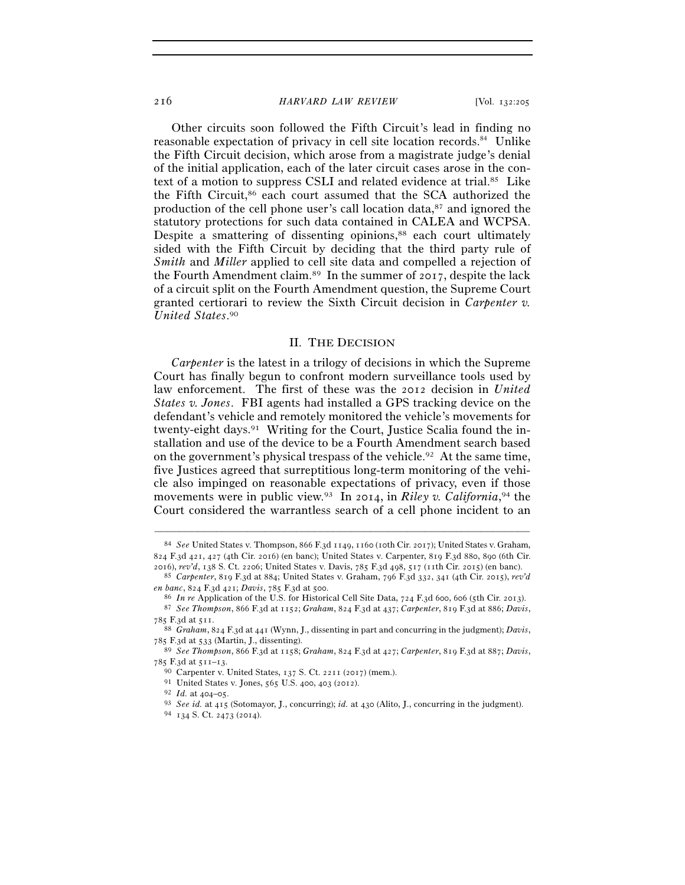#### 216 *HARVARD LAW REVIEW* [Vol. 132:<sup>205</sup>

Other circuits soon followed the Fifth Circuit's lead in finding no reasonable expectation of privacy in cell site location records.<sup>84</sup> Unlike the Fifth Circuit decision, which arose from a magistrate judge's denial of the initial application, each of the later circuit cases arose in the context of a motion to suppress CSLI and related evidence at trial.85 Like the Fifth Circuit,86 each court assumed that the SCA authorized the production of the cell phone user's call location data,87 and ignored the statutory protections for such data contained in CALEA and WCPSA. Despite a smattering of dissenting opinions,<sup>88</sup> each court ultimately sided with the Fifth Circuit by deciding that the third party rule of *Smith* and *Miller* applied to cell site data and compelled a rejection of the Fourth Amendment claim.89 In the summer of 2017, despite the lack of a circuit split on the Fourth Amendment question, the Supreme Court granted certiorari to review the Sixth Circuit decision in *Carpenter v. United States*. 90

## II. THE DECISION

*Carpenter* is the latest in a trilogy of decisions in which the Supreme Court has finally begun to confront modern surveillance tools used by law enforcement. The first of these was the 2012 decision in *United States v. Jones*. FBI agents had installed a GPS tracking device on the defendant's vehicle and remotely monitored the vehicle's movements for twenty-eight days.<sup>91</sup> Writing for the Court, Justice Scalia found the installation and use of the device to be a Fourth Amendment search based on the government's physical trespass of the vehicle.<sup>92</sup> At the same time, five Justices agreed that surreptitious long-term monitoring of the vehicle also impinged on reasonable expectations of privacy, even if those movements were in public view.<sup>93</sup> In 2014, in *Riley v. California*,<sup>94</sup> the Court considered the warrantless search of a cell phone incident to an

<sup>84</sup> *See* United States v. Thompson, 866 F.3d 1149, 1160 (10th Cir. 2017); United States v. Graham, 824 F.3d 421, 427 (4th Cir. 2016) (en banc); United States v. Carpenter, 819 F.3d 880, 890 (6th Cir.

<sup>2016</sup>), *rev'd*, 138 S. Ct. 2206; United States v. Davis, 785 F.3d 498, 517 (11th Cir. <sup>2015</sup>) (en banc). 85 *Carpenter*, 819 F.3d at 884; United States v. Graham, 796 F.3d 332, 341 (4th Cir. 2015), *rev'd* 

en banc, 824 F.3d 421; Davis, 785 F.3d at 500.<br>
<sup>86</sup> In re Application of the U.S. for Historical Cell Site Data, 724 F.3d 600, 606 (5th Cir. 2013).<br>
<sup>87</sup> See Thompson, 866 F.3d at 1152; Graham, 824 F.3d at 437; Carpenter

<sup>&</sup>lt;sup>88</sup> Graham, 824 F.3d at 441 (Wynn, J., dissenting in part and concurring in the judgment); *Davis*, 785 F.3d at 533 (Martin, J., dissenting).

<sup>785</sup> F.3d at <sup>533</sup> (Martin, J., dissenting). 89 *See Thompson*, 866 F.3d at 1158; *Graham*, 824 F.3d at 427; *Carpenter*, 819 F.3d at 887; *Davis*, 785 F.3d at 511–13.<br>
90 Carpenter v. United States, 137 S. Ct. 2211 (2017) (mem.).<br>
91 United States v. Jones, 565 U.S. 400, 403 (2012).<br>
92 *Id.* at 404–05.<br>
93 *See id.* at 415 (Sotomayor, J., concurring); *id.* at 430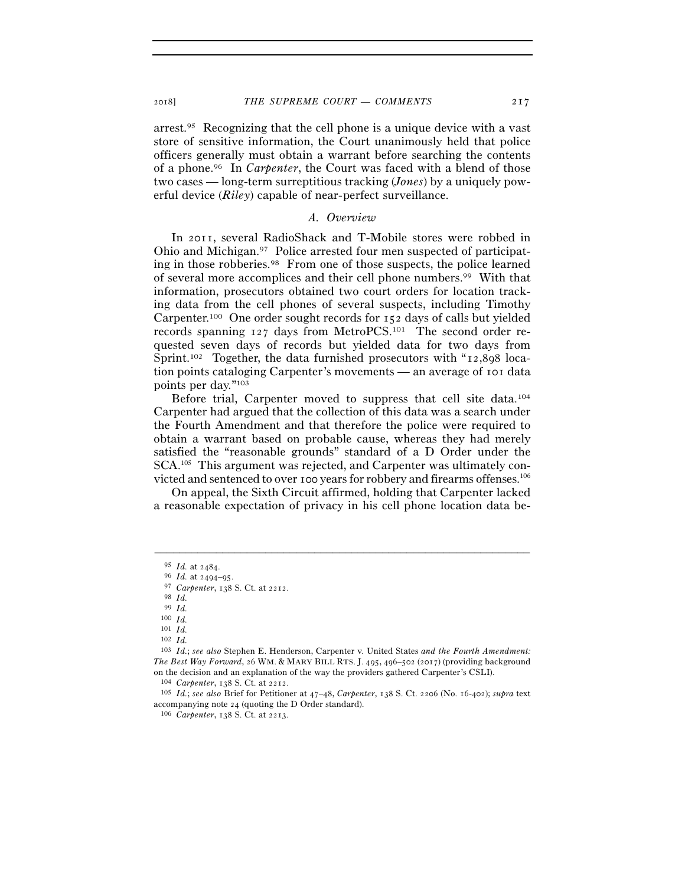arrest.95 Recognizing that the cell phone is a unique device with a vast store of sensitive information, the Court unanimously held that police officers generally must obtain a warrant before searching the contents of a phone.96 In *Carpenter*, the Court was faced with a blend of those two cases — long-term surreptitious tracking (*Jones*) by a uniquely powerful device (*Riley*) capable of near-perfect surveillance.

## *A. Overview*

In 2011, several RadioShack and T-Mobile stores were robbed in Ohio and Michigan.97 Police arrested four men suspected of participating in those robberies.98 From one of those suspects, the police learned of several more accomplices and their cell phone numbers.99 With that information, prosecutors obtained two court orders for location tracking data from the cell phones of several suspects, including Timothy Carpenter.100 One order sought records for 152 days of calls but yielded records spanning 127 days from MetroPCS.101 The second order requested seven days of records but yielded data for two days from Sprint.102 Together, the data furnished prosecutors with "12,898 location points cataloging Carpenter's movements — an average of 101 data points per day."103

Before trial, Carpenter moved to suppress that cell site data.104 Carpenter had argued that the collection of this data was a search under the Fourth Amendment and that therefore the police were required to obtain a warrant based on probable cause, whereas they had merely satisfied the "reasonable grounds" standard of a D Order under the SCA.105 This argument was rejected, and Carpenter was ultimately convicted and sentenced to over 100 years for robbery and firearms offenses.106

On appeal, the Sixth Circuit affirmed, holding that Carpenter lacked a reasonable expectation of privacy in his cell phone location data be-

<sup>95</sup> *Id.* at <sup>2484</sup>. 96 *Id.* at 2494–<sup>95</sup>. 97 *Carpenter*, 138 S. Ct. at <sup>2212</sup>. 98 *Id.*

<sup>99</sup> *Id.*

<sup>100</sup> *Id.* 101 *Id.*

<sup>102</sup> *Id.*

<sup>103</sup> *Id.*; *see also* Stephen E. Henderson, Carpenter v. United States *and the Fourth Amendment: The Best Way Forward*, 26 WM. & MARY BILL RTS. J. 495, 496–502 (2017) (providing background on the decision and an explanation of the way the providers gathered Carpenter's CSLI).

<sup>104</sup> *Carpenter*, 138 S. Ct. at <sup>2212</sup>. 105 *Id.*; *see also* Brief for Petitioner at 47–48, *Carpenter*, 138 S. Ct. 2206 (No. 16-402); *supra* text accompanying note <sup>24</sup> (quoting the D Order standard). 106 *Carpenter*, 138 S. Ct. at 2213.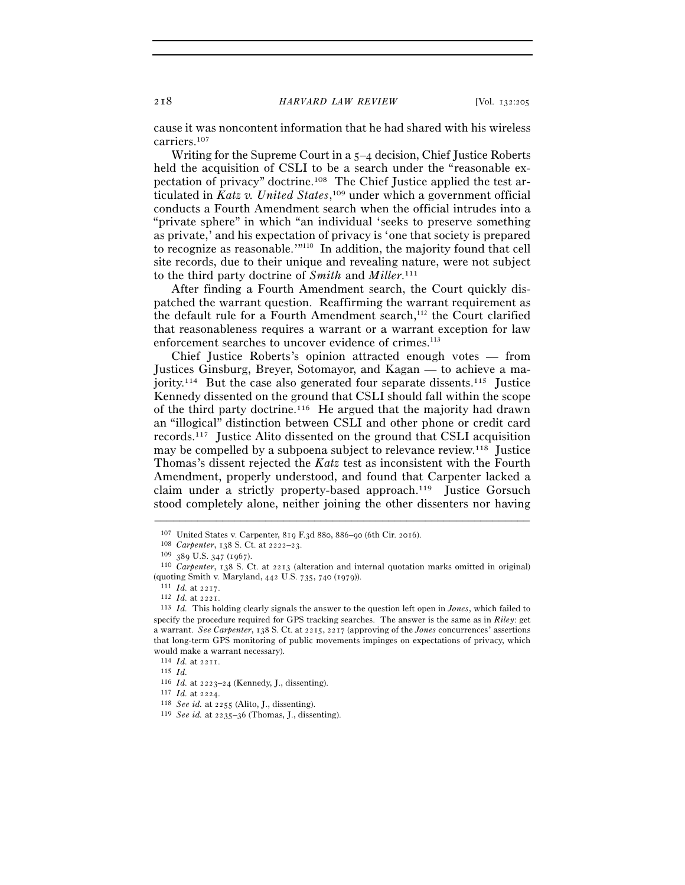cause it was noncontent information that he had shared with his wireless carriers.107

Writing for the Supreme Court in a 5–4 decision, Chief Justice Roberts held the acquisition of CSLI to be a search under the "reasonable expectation of privacy" doctrine.108 The Chief Justice applied the test articulated in *Katz v. United States*, 109 under which a government official conducts a Fourth Amendment search when the official intrudes into a "private sphere" in which "an individual 'seeks to preserve something as private,' and his expectation of privacy is 'one that society is prepared to recognize as reasonable.'"110 In addition, the majority found that cell site records, due to their unique and revealing nature, were not subject to the third party doctrine of *Smith* and *Miller*. 111

After finding a Fourth Amendment search, the Court quickly dispatched the warrant question. Reaffirming the warrant requirement as the default rule for a Fourth Amendment search,<sup>112</sup> the Court clarified that reasonableness requires a warrant or a warrant exception for law enforcement searches to uncover evidence of crimes.<sup>113</sup>

Chief Justice Roberts's opinion attracted enough votes — from Justices Ginsburg, Breyer, Sotomayor, and Kagan — to achieve a majority.<sup>114</sup> But the case also generated four separate dissents.<sup>115</sup> Justice Kennedy dissented on the ground that CSLI should fall within the scope of the third party doctrine.116 He argued that the majority had drawn an "illogical" distinction between CSLI and other phone or credit card records.117 Justice Alito dissented on the ground that CSLI acquisition may be compelled by a subpoena subject to relevance review.<sup>118</sup> Justice Thomas's dissent rejected the *Katz* test as inconsistent with the Fourth Amendment, properly understood, and found that Carpenter lacked a claim under a strictly property-based approach.119 Justice Gorsuch stood completely alone, neither joining the other dissenters nor having

<sup>&</sup>lt;sup>107</sup> United States v. Carpenter, 819 F.3d 88o, 886–90 (6th Cir. 2016).<br>
<sup>108</sup> Carpenter, 138 S. Ct. at 2222–23.<br>
<sup>109</sup> 389 U.S. 347 (1967).<br>
<sup>109</sup> 280 U.S. 347 (1967). %) (quoting Smith v. Maryland, 442 U.S. 735, 740 (1979)).<br><sup>111</sup> *Id.* at 2217.<br><sup>112</sup> *Id.* at 2221.<br><sup>113</sup> *Id.* This holding clearly signals the answer to the question left open in *Jones*, which failed to

specify the procedure required for GPS tracking searches. The answer is the same as in *Riley*: get a warrant. *See Carpenter*, 138 S. Ct. at 2215, 2217 (approving of the *Jones* concurrences' assertions that long-term GPS monitoring of public movements impinges on expectations of privacy, which would make a warrant necessary).

<sup>114</sup> *Id.* at <sup>2211</sup>. 115 *Id.*

<sup>116</sup> *Id.* at 2223–<sup>24</sup> (Kennedy, J., dissenting). 117 *Id.* at <sup>2224</sup>. 118 *See id.* at <sup>2255</sup> (Alito, J., dissenting). 119 *See id.* at 2235–36 (Thomas, J., dissenting).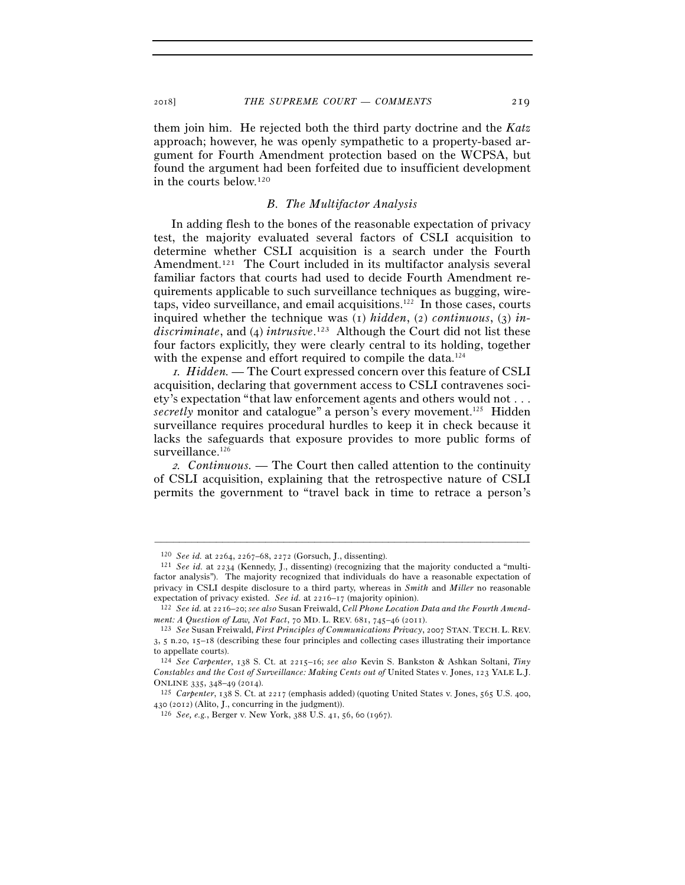them join him. He rejected both the third party doctrine and the *Katz* approach; however, he was openly sympathetic to a property-based argument for Fourth Amendment protection based on the WCPSA, but found the argument had been forfeited due to insufficient development in the courts below.120

# *B. The Multifactor Analysis*

In adding flesh to the bones of the reasonable expectation of privacy test, the majority evaluated several factors of CSLI acquisition to determine whether CSLI acquisition is a search under the Fourth Amendment.<sup>121</sup> The Court included in its multifactor analysis several familiar factors that courts had used to decide Fourth Amendment requirements applicable to such surveillance techniques as bugging, wiretaps, video surveillance, and email acquisitions.122 In those cases, courts inquired whether the technique was (1) *hidden*, (2) *continuous*, (3) *indiscriminate*, and (4) *intrusive*. 123 Although the Court did not list these four factors explicitly, they were clearly central to its holding, together with the expense and effort required to compile the data.<sup>124</sup>

<sup>1</sup>*. Hidden. —* The Court expressed concern over this feature of CSLI acquisition, declaring that government access to CSLI contravenes society's expectation "that law enforcement agents and others would not . . . *secretly* monitor and catalogue" a person's every movement.<sup>125</sup> Hidden surveillance requires procedural hurdles to keep it in check because it lacks the safeguards that exposure provides to more public forms of surveillance.<sup>126</sup>

<sup>2</sup>*. Continuous. —* The Court then called attention to the continuity of CSLI acquisition, explaining that the retrospective nature of CSLI permits the government to "travel back in time to retrace a person's

<sup>120</sup> *See id.* at 2264, 2267–68, <sup>2272</sup> (Gorsuch, J., dissenting). 121 *See id.* at 2234 (Kennedy, J., dissenting) (recognizing that the majority conducted a "multifactor analysis"). The majority recognized that individuals do have a reasonable expectation of privacy in CSLI despite disclosure to a third party, whereas in *Smith* and *Miller* no reasonable expectation of privacy existed. *See id.* at 2216–<sup>17</sup> (majority opinion). 122 *See id.* at 2216–20; *see also* Susan Freiwald, *Cell Phone Location Data and the Fourth Amend-*

*ment: A Question of Law, Not Fact*, 70 MD. L. REV. 681, 745–46 (<sup>2011</sup>). 123 *See* Susan Freiwald, *First Principles of Communications Privacy*, 2007 STAN. TECH. L. REV.

<sup>3</sup>, 5 n.20, 15–18 (describing these four principles and collecting cases illustrating their importance to appellate courts).

<sup>124</sup> *See Carpenter*, 138 S. Ct. at 2215–16; *see also* Kevin S. Bankston & Ashkan Soltani, *Tiny Constables and the Cost of Surveillance: Making Cents out of* United States v. Jones, 123 YALE L.J. ONLINE <sup>335</sup>, 348–49 (<sup>2014</sup>). 125 *Carpenter*, 138 S. Ct. at 2217 (emphasis added) (quoting United States v. Jones, 565 U.S. 400,

<sup>430</sup> (<sup>2012</sup>) (Alito, J., concurring in the judgment)). 126 *See, e.g.*, Berger v. New York, 388 U.S. 41, 56, 60 (1967).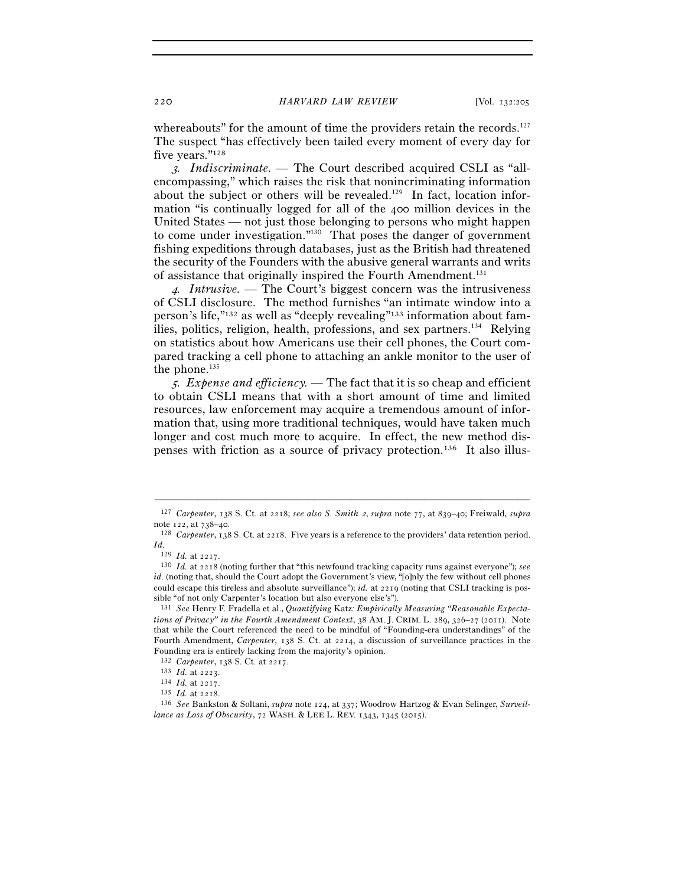whereabouts" for the amount of time the providers retain the records.<sup>127</sup> The suspect "has effectively been tailed every moment of every day for five years."128

3*. Indiscriminate. —* The Court described acquired CSLI as "allencompassing," which raises the risk that nonincriminating information about the subject or others will be revealed.<sup>129</sup> In fact, location information "is continually logged for all of the 400 million devices in the United States — not just those belonging to persons who might happen to come under investigation."130 That poses the danger of government fishing expeditions through databases, just as the British had threatened the security of the Founders with the abusive general warrants and writs of assistance that originally inspired the Fourth Amendment.<sup>131</sup>

<sup>4</sup>*. Intrusive. —* The Court's biggest concern was the intrusiveness of CSLI disclosure. The method furnishes "an intimate window into a person's life,"132 as well as "deeply revealing"133 information about families, politics, religion, health, professions, and sex partners.<sup>134</sup> Relying on statistics about how Americans use their cell phones, the Court compared tracking a cell phone to attaching an ankle monitor to the user of the phone. $135$ 

<sup>5</sup>*. Expense and efficiency. —* The fact that it is so cheap and efficient to obtain CSLI means that with a short amount of time and limited resources, law enforcement may acquire a tremendous amount of information that, using more traditional techniques, would have taken much longer and cost much more to acquire. In effect, the new method dispenses with friction as a source of privacy protection.136 It also illus-

<sup>–––––––––––––––––––––––––––––––––––––––––––––––––––––––––––––</sup> <sup>127</sup> *Carpenter*, 138 S. Ct. at 2218; *see also S. Smith* 2, *supra* note 77, at 839–40; Freiwald, *supra* note 122, at 738–40.<br><sup>128</sup> *Carpenter*, 138 S. Ct. at 2218. Five years is a reference to the providers' data retention period.

 $Id.$ <sup>129</sup>  $Id.$  at 2217.

<sup>129</sup> *Id.* at <sup>2217</sup>. 130 *Id.* at 2218 (noting further that "this newfound tracking capacity runs against everyone"); *see id.* (noting that, should the Court adopt the Government's view, "[o]nly the few without cell phones could escape this tireless and absolute surveillance"); *id.* at 2219 (noting that CSLI tracking is possible "of not only Carpenter's location but also everyone else's").

<sup>131</sup> *See* Henry F. Fradella et al., *Quantifying* Katz*: Empirically Measuring "Reasonable Expectations of Privacy" in the Fourth Amendment Context*, 38 AM. J. CRIM. L. 289, 326–27 (2011). Note that while the Court referenced the need to be mindful of "Founding-era understandings" of the Fourth Amendment, *Carpenter*, 138 S. Ct. at 2214, a discussion of surveillance practices in the Founding era is entirely lacking from the majority's opinion.<br> $132$  Carpenter, 138 S. Ct. at 2217.

<sup>&</sup>lt;sup>133</sup> *Id.* at 2223.<br><sup>134</sup> *Id.* at 2217.<br><sup>135</sup> *Id.* at 2218.<br><sup>135</sup> *See* Bankston & Soltani, *supra* note 124, at 337; Woodrow Hartzog & Evan Selinger, *Surveillance as Loss of Obscurity*, 72 WASH. & LEE L. REV. 1343, 1345 (2015).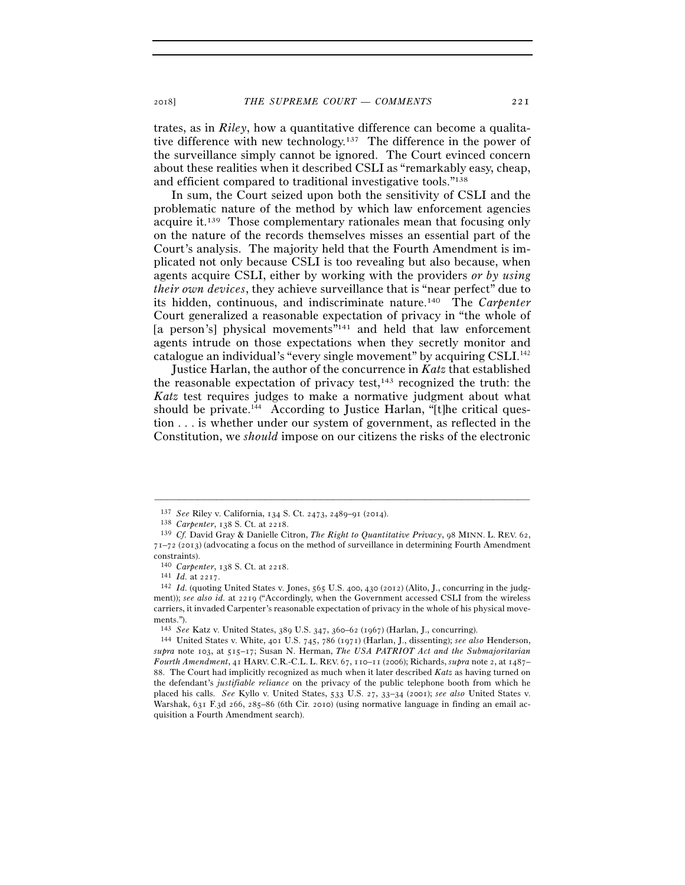trates, as in *Riley*, how a quantitative difference can become a qualitative difference with new technology.<sup>137</sup> The difference in the power of the surveillance simply cannot be ignored. The Court evinced concern about these realities when it described CSLI as "remarkably easy, cheap, and efficient compared to traditional investigative tools."138

In sum, the Court seized upon both the sensitivity of CSLI and the problematic nature of the method by which law enforcement agencies acquire it.139 Those complementary rationales mean that focusing only on the nature of the records themselves misses an essential part of the Court's analysis. The majority held that the Fourth Amendment is implicated not only because CSLI is too revealing but also because, when agents acquire CSLI, either by working with the providers *or by using their own devices*, they achieve surveillance that is "near perfect" due to its hidden, continuous, and indiscriminate nature.140 The *Carpenter* Court generalized a reasonable expectation of privacy in "the whole of [a person's] physical movements"<sup>141</sup> and held that law enforcement agents intrude on those expectations when they secretly monitor and catalogue an individual's "every single movement" by acquiring CSLI.142

Justice Harlan, the author of the concurrence in *Katz* that established the reasonable expectation of privacy test, $143$  recognized the truth: the *Katz* test requires judges to make a normative judgment about what should be private. $144$  According to Justice Harlan, "[t]he critical question . . . is whether under our system of government, as reflected in the Constitution, we *should* impose on our citizens the risks of the electronic

<sup>137</sup> *See* Riley v. California, 134 S. Ct. 2473, 2489–91 (<sup>2014</sup>). 138 *Carpenter*, 138 S. Ct. at <sup>2218</sup>. 139 *Cf.* David Gray & Danielle Citron, *The Right to Quantitative Privacy*, 98 MINN. L. REV. 62, 71–72 (2013) (advocating a focus on the method of surveillance in determining Fourth Amendment constraints).

<sup>140</sup> *Carpenter*, 138 S. Ct. at <sup>2218</sup>. 141 *Id.* at <sup>2217</sup>. 142 *Id.* (quoting United States v. Jones, 565 U.S. 400, 430 (2012) (Alito, J., concurring in the judgment)); *see also id.* at 2219 ("Accordingly, when the Government accessed CSLI from the wireless carriers, it invaded Carpenter's reasonable expectation of privacy in the whole of his physical movements.").

<sup>143</sup> *See* Katz v. United States, 389 U.S. 347, 360–62 (<sup>1967</sup>) (Harlan, J., concurring). 144 United States v. White, <sup>401</sup> U.S. 745, 786 (1971) (Harlan, J., dissenting); *see also* Henderson, *supra* note 103, at 515–17; Susan N. Herman, *The USA PATRIOT Act and the Submajoritarian Fourth Amendment*, 41 HARV. C.R.-C.L. L. REV. 67, 110–11 (2006); Richards, *supra* note 2, at 1487– 88. The Court had implicitly recognized as much when it later described *Katz* as having turned on the defendant's *justifiable reliance* on the privacy of the public telephone booth from which he placed his calls. *See* Kyllo v. United States, 533 U.S. 27, 33–34 (2001); *see also* United States v. Warshak, 631 F.3d 266, 285–86 (6th Cir. 2010) (using normative language in finding an email acquisition a Fourth Amendment search).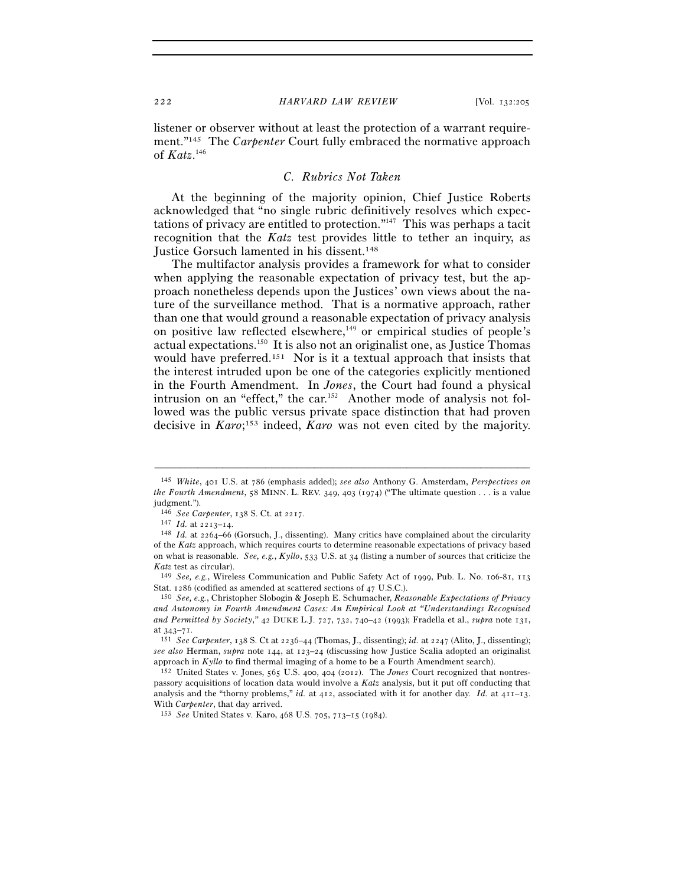listener or observer without at least the protection of a warrant requirement."145 The *Carpenter* Court fully embraced the normative approach of *Katz*. 146

# *C. Rubrics Not Taken*

At the beginning of the majority opinion, Chief Justice Roberts acknowledged that "no single rubric definitively resolves which expectations of privacy are entitled to protection."147 This was perhaps a tacit recognition that the *Katz* test provides little to tether an inquiry, as Justice Gorsuch lamented in his dissent.148

The multifactor analysis provides a framework for what to consider when applying the reasonable expectation of privacy test, but the approach nonetheless depends upon the Justices' own views about the nature of the surveillance method. That is a normative approach, rather than one that would ground a reasonable expectation of privacy analysis on positive law reflected elsewhere,<sup>149</sup> or empirical studies of people's actual expectations.150 It is also not an originalist one, as Justice Thomas would have preferred.<sup>151</sup> Nor is it a textual approach that insists that the interest intruded upon be one of the categories explicitly mentioned in the Fourth Amendment. In *Jones*, the Court had found a physical intrusion on an "effect," the car.<sup>152</sup> Another mode of analysis not followed was the public versus private space distinction that had proven decisive in *Karo*; 153 indeed, *Karo* was not even cited by the majority.

<sup>145</sup> *White*, 401 U.S. at 786 (emphasis added); *see also* Anthony G. Amsterdam, *Perspectives on the Fourth Amendment*, 58 MINN. L. REV. 349, 403 (1974) ("The ultimate question . . . is a value judgment.").

<sup>146</sup> *See Carpenter*, 138 S. Ct. at <sup>2217</sup>. 147 *Id.* at 2213–<sup>14</sup>. 148 *Id.* at 2264–66 (Gorsuch, J., dissenting). Many critics have complained about the circularity of the *Katz* approach, which requires courts to determine reasonable expectations of privacy based on what is reasonable. *See, e.g.*, *Kyllo*, 533 U.S. at 34 (listing a number of sources that criticize the *Katz* test as circular). 149 *See, e.g.*, Wireless Communication and Public Safety Act of 1999, Pub. L. No. 106-81, <sup>113</sup>

Stat. 1286 (codified as amended at scattered sections of <sup>47</sup> U.S.C.). 150 *See, e.g.*, Christopher Slobogin & Joseph E. Schumacher, *Reasonable Expectations of Privacy* 

*and Autonomy in Fourth Amendment Cases: An Empirical Look at "Understandings Recognized and Permitted by Society*,*"* 42 DUKE L.J. 727, 732, 740–42 (1993); Fradella et al., *supra* note 131, at 343–<sup>71</sup>. 151 *See Carpenter*, 138 S. Ct at 2236–44 (Thomas, J., dissenting); *id.* at 2247 (Alito, J., dissenting);

*see also* Herman, *supra* note 144, at 123–24 (discussing how Justice Scalia adopted an originalist approach in *Kyllo* to find thermal imaging of a home to be a Fourth Amendment search). 152 United States v. Jones, <sup>565</sup> U.S. 400, 404 (2012). The *Jones* Court recognized that nontres-

passory acquisitions of location data would involve a *Katz* analysis, but it put off conducting that analysis and the "thorny problems," *id.* at 412, associated with it for another day. *Id.* at 411–13. With *Carpenter*, that day arrived. 153 *See* United States v. Karo, 468 U.S. 705, 713–15 (1984).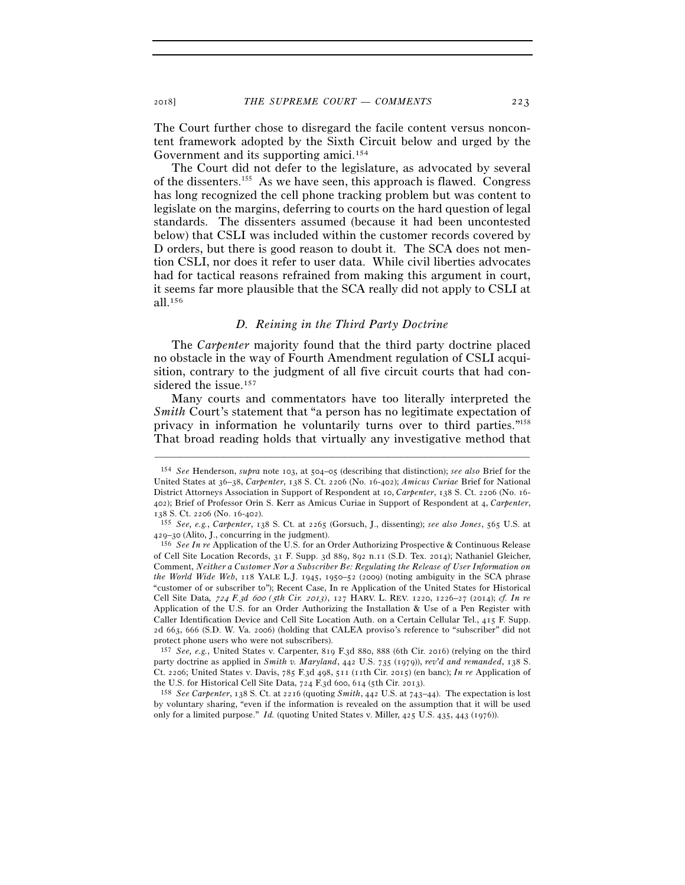The Court further chose to disregard the facile content versus noncontent framework adopted by the Sixth Circuit below and urged by the Government and its supporting amici.<sup>154</sup>

The Court did not defer to the legislature, as advocated by several of the dissenters.155 As we have seen, this approach is flawed. Congress has long recognized the cell phone tracking problem but was content to legislate on the margins, deferring to courts on the hard question of legal standards. The dissenters assumed (because it had been uncontested below) that CSLI was included within the customer records covered by D orders, but there is good reason to doubt it. The SCA does not mention CSLI, nor does it refer to user data. While civil liberties advocates had for tactical reasons refrained from making this argument in court, it seems far more plausible that the SCA really did not apply to CSLI at all.156

# *D. Reining in the Third Party Doctrine*

The *Carpenter* majority found that the third party doctrine placed no obstacle in the way of Fourth Amendment regulation of CSLI acquisition, contrary to the judgment of all five circuit courts that had considered the issue.<sup>157</sup>

Many courts and commentators have too literally interpreted the *Smith* Court's statement that "a person has no legitimate expectation of privacy in information he voluntarily turns over to third parties."158 That broad reading holds that virtually any investigative method that

<sup>154</sup> *See* Henderson, *supra* note 103, at 504–05 (describing that distinction); *see also* Brief for the United States at 36–38, *Carpenter*, 138 S. Ct. 2206 (No. 16-402); *Amicus Curiae* Brief for National District Attorneys Association in Support of Respondent at 10, *Carpenter*, 138 S. Ct. 2206 (No. 16- 402); Brief of Professor Orin S. Kerr as Amicus Curiae in Support of Respondent at 4, *Carpenter*,

<sup>138</sup> S. Ct. 2206 (No. 16-<sup>402</sup>). 155 *See, e.g.*, *Carpenter*, 138 S. Ct. at 2265 (Gorsuch, J., dissenting); *see also Jones*, 565 U.S. at

<sup>&</sup>lt;sup>156</sup> See In re Application of the U.S. for an Order Authorizing Prospective & Continuous Release of Cell Site Location Records, 31 F. Supp. 3d 889, 892 n.11 (S.D. Tex. 2014); Nathaniel Gleicher, Comment, *Neither a Customer Nor a Subscriber Be: Regulating the Release of User Information on the World Wide Web*, 118 YALE L.J. 1945, 1950–52 (2009) (noting ambiguity in the SCA phrase "customer of or subscriber to"); Recent Case, In re Application of the United States for Historical Cell Site Data*,* 724 *F.*3*d* 600 *(*5*th Cir.* 2013*)*, 127 HARV. L. REV. 1220, 1226–27 (2014); *cf. In re* Application of the U.S. for an Order Authorizing the Installation & Use of a Pen Register with Caller Identification Device and Cell Site Location Auth. on a Certain Cellular Tel., 415 F. Supp. 2d 663, 666 (S.D. W. Va. 2006) (holding that CALEA proviso's reference to "subscriber" did not protect phone users who were not subscribers).

<sup>157</sup> *See, e.g.*, United States v. Carpenter, 819 F.3d 880, 888 (6th Cir. 2016) (relying on the third party doctrine as applied in *Smith v. Maryland*, 442 U.S. 735 (1979)), *rev'd and remanded*, 138 S. Ct. 2206; United States v. Davis, 785 F.3d 498, 511 (11th Cir. 2015) (en banc); *In re* Application of the U.S. for Historical Cell Site Data, 724 F.3d 600, 614 (5th Cir. <sup>2013</sup>). 158 *See Carpenter*, 138 S. Ct. at 2216 (quoting *Smith*, 442 U.S. at 743–44). The expectation is lost

by voluntary sharing, "even if the information is revealed on the assumption that it will be used only for a limited purpose." *Id.* (quoting United States v. Miller, 425 U.S. 435, 443 (1976)).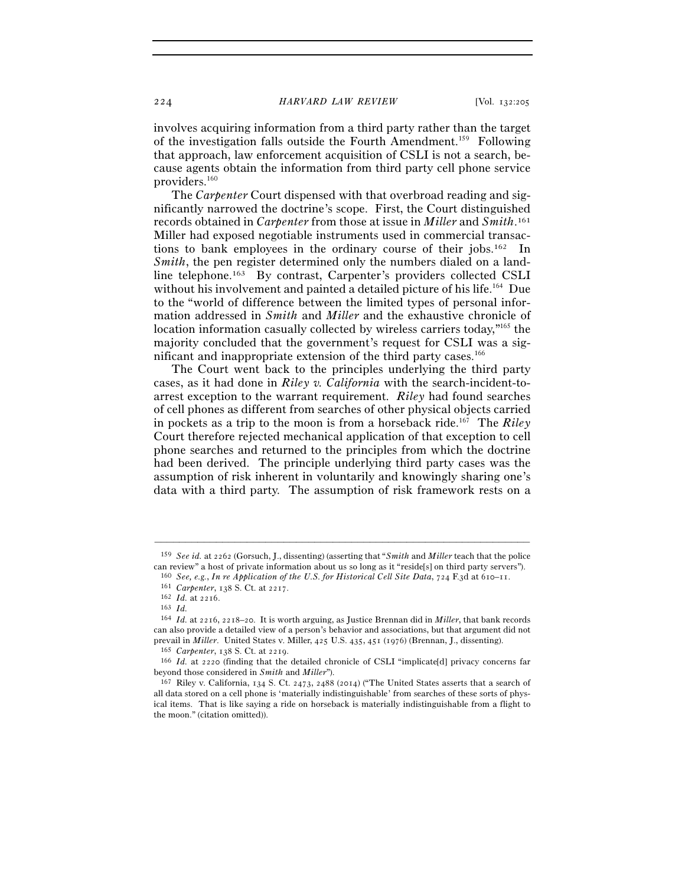involves acquiring information from a third party rather than the target of the investigation falls outside the Fourth Amendment.159 Following that approach, law enforcement acquisition of CSLI is not a search, because agents obtain the information from third party cell phone service providers.160

The *Carpenter* Court dispensed with that overbroad reading and significantly narrowed the doctrine's scope. First, the Court distinguished records obtained in *Carpenter* from those at issue in *Miller* and *Smith*. 161 Miller had exposed negotiable instruments used in commercial transactions to bank employees in the ordinary course of their jobs.162 In *Smith*, the pen register determined only the numbers dialed on a landline telephone.163 By contrast, Carpenter's providers collected CSLI without his involvement and painted a detailed picture of his life.<sup>164</sup> Due to the "world of difference between the limited types of personal information addressed in *Smith* and *Miller* and the exhaustive chronicle of location information casually collected by wireless carriers today,"165 the majority concluded that the government's request for CSLI was a significant and inappropriate extension of the third party cases.<sup>166</sup>

The Court went back to the principles underlying the third party cases, as it had done in *Riley v. California* with the search-incident-toarrest exception to the warrant requirement. *Riley* had found searches of cell phones as different from searches of other physical objects carried in pockets as a trip to the moon is from a horseback ride.167 The *Riley* Court therefore rejected mechanical application of that exception to cell phone searches and returned to the principles from which the doctrine had been derived. The principle underlying third party cases was the assumption of risk inherent in voluntarily and knowingly sharing one's data with a third party. The assumption of risk framework rests on a

<sup>–––––––––––––––––––––––––––––––––––––––––––––––––––––––––––––</sup> <sup>159</sup> *See id.* at 2262 (Gorsuch, J., dissenting) (asserting that "*Smith* and *Miller* teach that the police can review" a host of private information about us so long as it "reside[s] on third party servers").

<sup>160</sup> *See, e.g.*, *In re Application of the U.S. for Historical Cell Site Data*, 724 F.3d at 610–<sup>11</sup>. 161 *Carpenter*, 138 S. Ct. at <sup>2217</sup>. 162 *Id.* at <sup>2216</sup>. 163 *Id.*

<sup>164</sup> *Id.* at 2216, 2218–20. It is worth arguing, as Justice Brennan did in *Miller*, that bank records can also provide a detailed view of a person's behavior and associations, but that argument did not prevail in *Miller*. United States v. Miller,  $425$  U.S.  $435$ ,  $451$  ( $1976$ ) (Brennan, J., dissenting).<br><sup>165</sup> *Carpenter*,  $138$  S. Ct. at  $2219$ .<br><sup>166</sup> *Id.* at  $2220$  (finding that the detailed chronicle of CSLI "impl

beyond those considered in *Smith* and *Miller*").<br><sup>167</sup> Riley v. California, 134 S. Ct. 2473, 2488 (2014) ("The United States asserts that a search of

all data stored on a cell phone is 'materially indistinguishable' from searches of these sorts of physical items. That is like saying a ride on horseback is materially indistinguishable from a flight to the moon." (citation omitted)).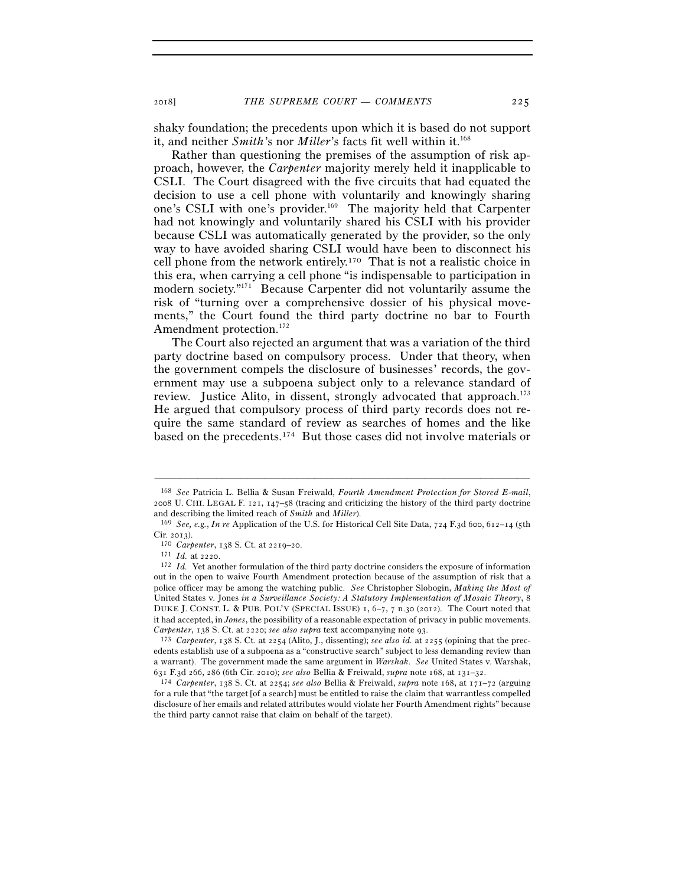<sup>2018</sup>] *THE SUPREME COURT — COMMENTS* 225

shaky foundation; the precedents upon which it is based do not support it, and neither *Smith*'s nor *Miller*'s facts fit well within it.<sup>168</sup>

Rather than questioning the premises of the assumption of risk approach, however, the *Carpenter* majority merely held it inapplicable to CSLI. The Court disagreed with the five circuits that had equated the decision to use a cell phone with voluntarily and knowingly sharing one's CSLI with one's provider.169 The majority held that Carpenter had not knowingly and voluntarily shared his CSLI with his provider because CSLI was automatically generated by the provider, so the only way to have avoided sharing CSLI would have been to disconnect his cell phone from the network entirely.170 That is not a realistic choice in this era, when carrying a cell phone "is indispensable to participation in modern society."171 Because Carpenter did not voluntarily assume the risk of "turning over a comprehensive dossier of his physical movements," the Court found the third party doctrine no bar to Fourth Amendment protection.<sup>172</sup>

The Court also rejected an argument that was a variation of the third party doctrine based on compulsory process. Under that theory, when the government compels the disclosure of businesses' records, the government may use a subpoena subject only to a relevance standard of review. Justice Alito, in dissent, strongly advocated that approach.173 He argued that compulsory process of third party records does not require the same standard of review as searches of homes and the like based on the precedents.174 But those cases did not involve materials or

<sup>168</sup> *See* Patricia L. Bellia & Susan Freiwald, *Fourth Amendment Protection for Stored E-mail*, 2008 U. CHI. LEGAL F. 121, 147–58 (tracing and criticizing the history of the third party doctrine and describing the limited reach of *Smith* and *Miller*). 169 *See, e.g.*, *In re* Application of the U.S. for Historical Cell Site Data, 724 F.3d 600, 612–14 (5th

Cir. <sup>2013</sup>). 170 *Carpenter*, 138 S. Ct. at 2219–<sup>20</sup>. 171 *Id.* at <sup>2220</sup>. 172 *Id.* Yet another formulation of the third party doctrine considers the exposure of information

out in the open to waive Fourth Amendment protection because of the assumption of risk that a police officer may be among the watching public. *See* Christopher Slobogin, *Making the Most of*  United States v. Jones *in a Surveillance Society: A Statutory Implementation of Mosaic Theory*, 8 DUKE J. CONST. L. & PUB. POL'Y (SPECIAL ISSUE) 1, 6–7, 7 n.30 (2012). The Court noted that it had accepted, in *Jones*, the possibility of a reasonable expectation of privacy in public movements. *Carpenter*, 138 S. Ct. at 2220; *see also supra* text accompanying note <sup>93</sup>. 173 *Carpenter*, 138 S. Ct. at 2254 (Alito, J., dissenting); *see also id.* at 2255 (opining that the prec-

edents establish use of a subpoena as a "constructive search" subject to less demanding review than a warrant). The government made the same argument in *Warshak*. *See* United States v. Warshak, <sup>631</sup> F.3d 266, 286 (6th Cir. 2010); *see also* Bellia & Freiwald, *supra* note 168, at 131–<sup>32</sup>. 174 *Carpenter*, 138 S. Ct. at 2254; *see also* Bellia & Freiwald, *supra* note 168, at 171–72 (arguing

for a rule that "the target [of a search] must be entitled to raise the claim that warrantless compelled disclosure of her emails and related attributes would violate her Fourth Amendment rights" because the third party cannot raise that claim on behalf of the target).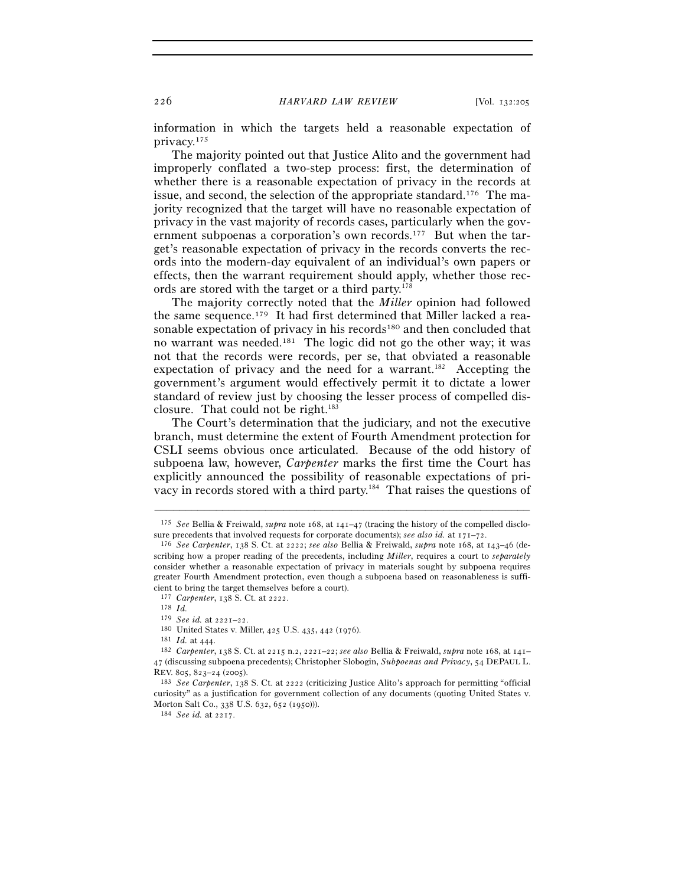information in which the targets held a reasonable expectation of privacy.175

The majority pointed out that Justice Alito and the government had improperly conflated a two-step process: first, the determination of whether there is a reasonable expectation of privacy in the records at issue, and second, the selection of the appropriate standard.176 The majority recognized that the target will have no reasonable expectation of privacy in the vast majority of records cases, particularly when the government subpoenas a corporation's own records.177 But when the target's reasonable expectation of privacy in the records converts the records into the modern-day equivalent of an individual's own papers or effects, then the warrant requirement should apply, whether those records are stored with the target or a third party.178

The majority correctly noted that the *Miller* opinion had followed the same sequence.179 It had first determined that Miller lacked a reasonable expectation of privacy in his records<sup>180</sup> and then concluded that no warrant was needed.181 The logic did not go the other way; it was not that the records were records, per se, that obviated a reasonable expectation of privacy and the need for a warrant.<sup>182</sup> Accepting the government's argument would effectively permit it to dictate a lower standard of review just by choosing the lesser process of compelled disclosure. That could not be right.<sup>183</sup>

The Court's determination that the judiciary, and not the executive branch, must determine the extent of Fourth Amendment protection for CSLI seems obvious once articulated. Because of the odd history of subpoena law, however, *Carpenter* marks the first time the Court has explicitly announced the possibility of reasonable expectations of privacy in records stored with a third party.184 That raises the questions of

<sup>–––––––––––––––––––––––––––––––––––––––––––––––––––––––––––––</sup> <sup>175</sup> *See* Bellia & Freiwald, *supra* note 168, at 141–47 (tracing the history of the compelled disclosure precedents that involved requests for corporate documents); *see also id.* at  $171-72$ .<br><sup>176</sup> See Carpenter, 138 S. Ct. at 2222; *see also* Bellia & Freiwald, *supra* note 168, at 143–46 (de-

scribing how a proper reading of the precedents, including *Miller*, requires a court to *separately* consider whether a reasonable expectation of privacy in materials sought by subpoena requires greater Fourth Amendment protection, even though a subpoena based on reasonableness is sufficient to bring the target themselves before a court).

<sup>177</sup> *Carpenter*, 138 S. Ct. at 2222.

<sup>178</sup> *Id.* 179 *See id.* at  $2221 - 22$ .

<sup>&</sup>lt;sup>180</sup> United States v. Miller, 425 U.S. 435, 442 (1976).<br><sup>181</sup> *Id.* at 444.<br><sup>182</sup> Carpenter, 138 S. Ct. at 2215 n.2, 2221–22; see also Bellia & Freiwald, supra note 168, at 141– 47 (discussing subpoena precedents); Christopher Slobogin, *Subpoenas and Privacy*, 54 DEPAUL L. REV. 805, 823–24 (<sup>2005</sup>). 183 *See Carpenter*, 138 S. Ct. at 2222 (criticizing Justice Alito's approach for permitting "official

curiosity" as a justification for government collection of any documents (quoting United States v. Morton Salt Co., 338 U.S. 632, 652 (<sup>1950</sup>))). 184 *See id.* at 2217.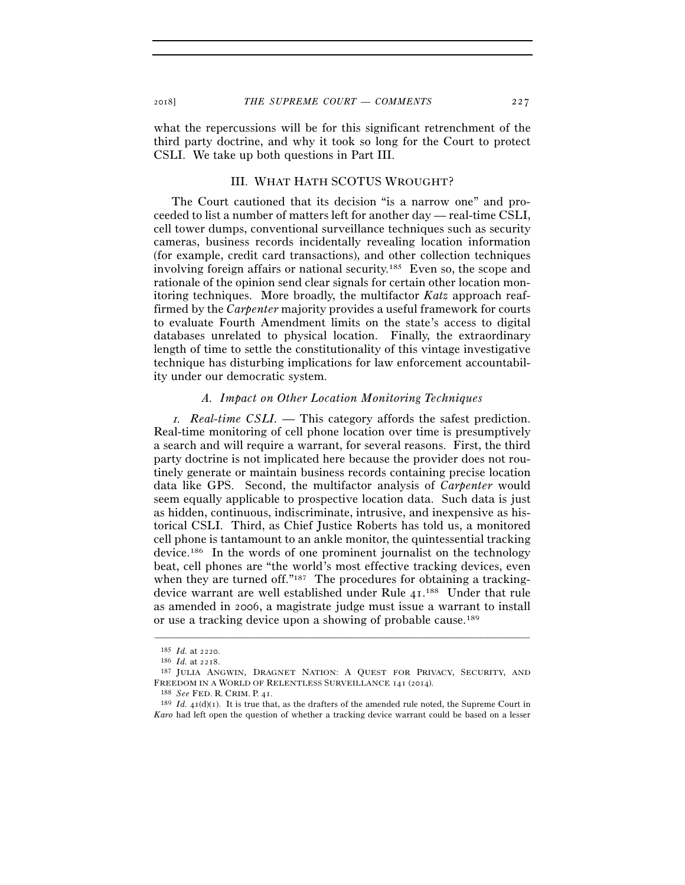what the repercussions will be for this significant retrenchment of the third party doctrine, and why it took so long for the Court to protect CSLI. We take up both questions in Part III.

# III. WHAT HATH SCOTUS WROUGHT?

The Court cautioned that its decision "is a narrow one" and proceeded to list a number of matters left for another day — real-time CSLI, cell tower dumps, conventional surveillance techniques such as security cameras, business records incidentally revealing location information (for example, credit card transactions), and other collection techniques involving foreign affairs or national security.185 Even so, the scope and rationale of the opinion send clear signals for certain other location monitoring techniques. More broadly, the multifactor *Katz* approach reaffirmed by the *Carpenter* majority provides a useful framework for courts to evaluate Fourth Amendment limits on the state's access to digital databases unrelated to physical location. Finally, the extraordinary length of time to settle the constitutionality of this vintage investigative technique has disturbing implications for law enforcement accountability under our democratic system.

# *A. Impact on Other Location Monitoring Techniques*

<sup>1</sup>*. Real-time CSLI. —* This category affords the safest prediction. Real-time monitoring of cell phone location over time is presumptively a search and will require a warrant, for several reasons. First, the third party doctrine is not implicated here because the provider does not routinely generate or maintain business records containing precise location data like GPS. Second, the multifactor analysis of *Carpenter* would seem equally applicable to prospective location data. Such data is just as hidden, continuous, indiscriminate, intrusive, and inexpensive as historical CSLI. Third, as Chief Justice Roberts has told us, a monitored cell phone is tantamount to an ankle monitor, the quintessential tracking device.186 In the words of one prominent journalist on the technology beat, cell phones are "the world's most effective tracking devices, even when they are turned off."<sup>187</sup> The procedures for obtaining a trackingdevice warrant are well established under Rule 41.<sup>188</sup> Under that rule as amended in 2006, a magistrate judge must issue a warrant to install or use a tracking device upon a showing of probable cause.189

<sup>185</sup> *Id.* at 2220.<br><sup>186</sup> *Id.* at 2218.<br><sup>187</sup> JULIA ANGWIN, DRAGNET NATION: A QUEST FOR PRIVACY, SECURITY, AND FREEDOM IN A WORLD OF RELENTLESS SURVEILLANCE 141 (2014).<br><sup>188</sup> *See* FED. R. CRIM. P. 41.<br><sup>189</sup> *Id.* 41(d)(1). It is true that, as the drafters of the amended rule noted, the Supreme Court in

*Karo* had left open the question of whether a tracking device warrant could be based on a lesser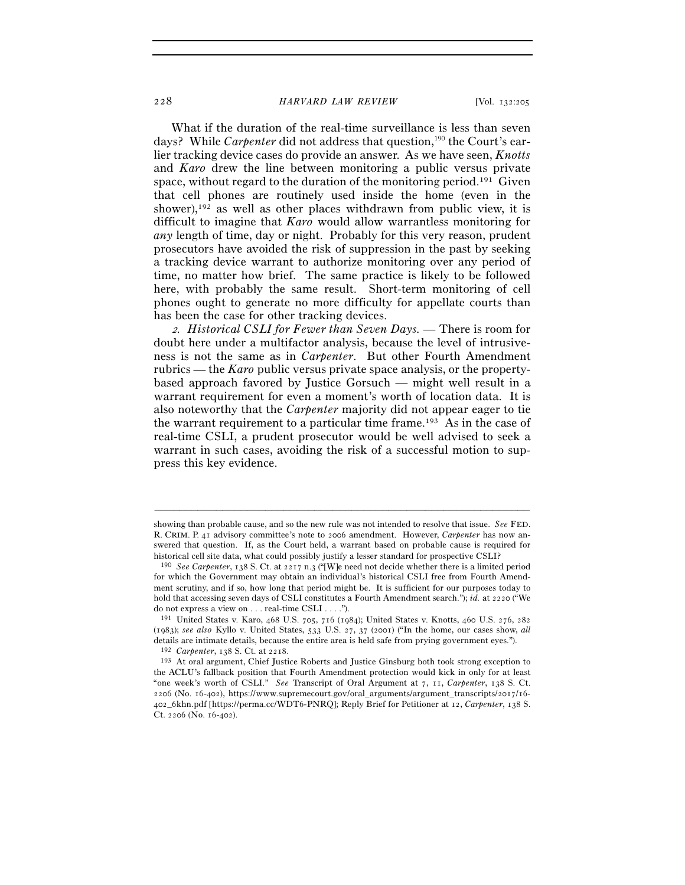#### 228 *HARVARD LAW REVIEW* [Vol. 132:<sup>205</sup>

What if the duration of the real-time surveillance is less than seven days? While *Carpenter* did not address that question,<sup>190</sup> the Court's earlier tracking device cases do provide an answer. As we have seen, *Knotts* and *Karo* drew the line between monitoring a public versus private space, without regard to the duration of the monitoring period.<sup>191</sup> Given that cell phones are routinely used inside the home (even in the shower), $192$  as well as other places withdrawn from public view, it is difficult to imagine that *Karo* would allow warrantless monitoring for *any* length of time, day or night. Probably for this very reason, prudent prosecutors have avoided the risk of suppression in the past by seeking a tracking device warrant to authorize monitoring over any period of time, no matter how brief. The same practice is likely to be followed here, with probably the same result. Short-term monitoring of cell phones ought to generate no more difficulty for appellate courts than has been the case for other tracking devices.

<sup>2</sup>*. Historical CSLI for Fewer than Seven Days. —* There is room for doubt here under a multifactor analysis, because the level of intrusiveness is not the same as in *Carpenter*. But other Fourth Amendment rubrics — the *Karo* public versus private space analysis, or the propertybased approach favored by Justice Gorsuch — might well result in a warrant requirement for even a moment's worth of location data. It is also noteworthy that the *Carpenter* majority did not appear eager to tie the warrant requirement to a particular time frame.193 As in the case of real-time CSLI, a prudent prosecutor would be well advised to seek a warrant in such cases, avoiding the risk of a successful motion to suppress this key evidence.

showing than probable cause, and so the new rule was not intended to resolve that issue. *See* FED. R. CRIM. P. 41 advisory committee's note to 2006 amendment. However, *Carpenter* has now answered that question. If, as the Court held, a warrant based on probable cause is required for historical cell site data, what could possibly justify a lesser standard for prospective CSLI? 190 *See Carpenter*, 138 S. Ct. at 2217 n.3 ("[W]e need not decide whether there is a limited period

for which the Government may obtain an individual's historical CSLI free from Fourth Amendment scrutiny, and if so, how long that period might be. It is sufficient for our purposes today to hold that accessing seven days of CSLI constitutes a Fourth Amendment search."); *id.* at 2220 ("We do not express a view on . . . real-time CSLI . . . .").

<sup>191</sup> United States v. Karo, 468 U.S. 705, 716 (1984); United States v. Knotts, 460 U.S. 276, 282 (1983); *see also* Kyllo v. United States, 533 U.S. 27, 37 (2001) ("In the home, our cases show, *all* details are intimate details, because the entire area is held safe from prying government eyes.").<br><sup>192</sup> *Carpenter*, 138 S. Ct. at 2218.<br><sup>193</sup> At oral argument, Chief Justice Roberts and Justice Ginsburg both took strong

the ACLU's fallback position that Fourth Amendment protection would kick in only for at least "one week's worth of CSLI." *See* Transcript of Oral Argument at 7, 11, *Carpenter*, 138 S. Ct. 2206 (No. 16-402), https://www.supremecourt.gov/oral\_arguments/argument\_transcripts/2017/16- 402\_6khn.pdf [https://perma.cc/WDT6-PNRQ]; Reply Brief for Petitioner at 12, *Carpenter*, 138 S. Ct. 2206 (No. 16-402).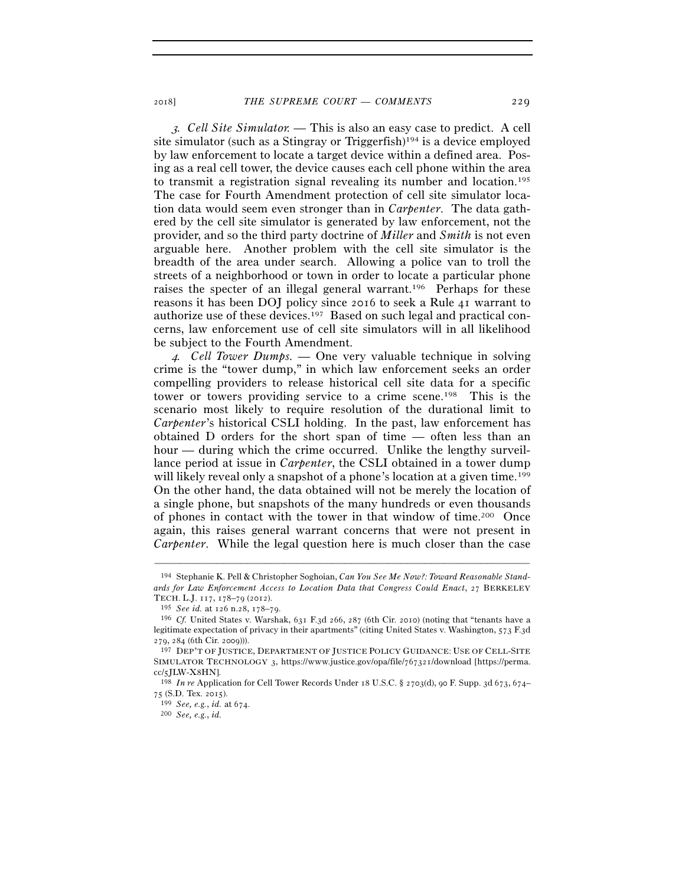<sup>3</sup>*. Cell Site Simulator. —* This is also an easy case to predict. A cell site simulator (such as a Stingray or Triggerfish)<sup>194</sup> is a device employed by law enforcement to locate a target device within a defined area. Posing as a real cell tower, the device causes each cell phone within the area to transmit a registration signal revealing its number and location.195 The case for Fourth Amendment protection of cell site simulator location data would seem even stronger than in *Carpenter*. The data gathered by the cell site simulator is generated by law enforcement, not the provider, and so the third party doctrine of *Miller* and *Smith* is not even arguable here. Another problem with the cell site simulator is the breadth of the area under search. Allowing a police van to troll the streets of a neighborhood or town in order to locate a particular phone raises the specter of an illegal general warrant.196 Perhaps for these reasons it has been DOJ policy since 2016 to seek a Rule 41 warrant to authorize use of these devices.197 Based on such legal and practical concerns, law enforcement use of cell site simulators will in all likelihood be subject to the Fourth Amendment.

<sup>4</sup>*. Cell Tower Dumps. —* One very valuable technique in solving crime is the "tower dump," in which law enforcement seeks an order compelling providers to release historical cell site data for a specific tower or towers providing service to a crime scene.198 This is the scenario most likely to require resolution of the durational limit to *Carpenter*'s historical CSLI holding. In the past, law enforcement has obtained D orders for the short span of time — often less than an hour — during which the crime occurred. Unlike the lengthy surveillance period at issue in *Carpenter*, the CSLI obtained in a tower dump will likely reveal only a snapshot of a phone's location at a given time.<sup>199</sup> On the other hand, the data obtained will not be merely the location of a single phone, but snapshots of the many hundreds or even thousands of phones in contact with the tower in that window of time.200 Once again, this raises general warrant concerns that were not present in *Carpenter*. While the legal question here is much closer than the case

<sup>194</sup> Stephanie K. Pell & Christopher Soghoian, *Can You See Me Now?: Toward Reasonable Standards for Law Enforcement Access to Location Data that Congress Could Enact*, 27 BERKELEY TECH. L.J. 117, 178–79 (2012).

<sup>195</sup> *See id.* at 126 n.28, 178–<sup>79</sup>. 196 *Cf.* United States v. Warshak, 631 F.3d 266, 287 (6th Cir. 2010) (noting that "tenants have a legitimate expectation of privacy in their apartments" (citing United States v. Washington, 573 F.3d 279, 284 (6th Cir. 2009))).

<sup>197</sup> DEP'T OF JUSTICE, DEPARTMENT OF JUSTICE POLICY GUIDANCE: USE OF CELL-SITE SIMULATOR TECHNOLOGY 3, https://www.justice.gov/opa/file/767321/download [https://perma.

cc/5JLW-X<sup>8</sup>HN]. 198 *In re* Application for Cell Tower Records Under 18 U.S.C. § 2703(d), 90 F. Supp. 3d 673, 674– <sup>75</sup> (S.D. Tex. <sup>2015</sup>). 199 *See, e.g.*, *id.* at <sup>674</sup>. 200 *See, e.g.*, *id.*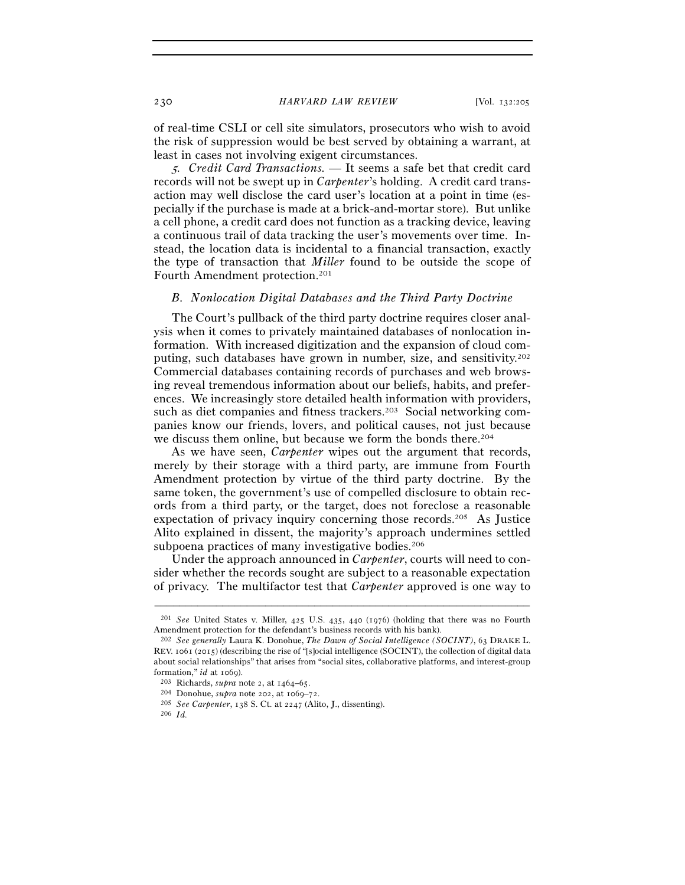of real-time CSLI or cell site simulators, prosecutors who wish to avoid the risk of suppression would be best served by obtaining a warrant, at least in cases not involving exigent circumstances.

<sup>5</sup>*. Credit Card Transactions. —* It seems a safe bet that credit card records will not be swept up in *Carpenter*'s holding. A credit card transaction may well disclose the card user's location at a point in time (especially if the purchase is made at a brick-and-mortar store). But unlike a cell phone, a credit card does not function as a tracking device, leaving a continuous trail of data tracking the user's movements over time. Instead, the location data is incidental to a financial transaction, exactly the type of transaction that *Miller* found to be outside the scope of Fourth Amendment protection.201

## *B. Nonlocation Digital Databases and the Third Party Doctrine*

The Court's pullback of the third party doctrine requires closer analysis when it comes to privately maintained databases of nonlocation information. With increased digitization and the expansion of cloud computing, such databases have grown in number, size, and sensitivity.202 Commercial databases containing records of purchases and web browsing reveal tremendous information about our beliefs, habits, and preferences. We increasingly store detailed health information with providers, such as diet companies and fitness trackers.<sup>203</sup> Social networking companies know our friends, lovers, and political causes, not just because we discuss them online, but because we form the bonds there.<sup>204</sup>

As we have seen, *Carpenter* wipes out the argument that records, merely by their storage with a third party, are immune from Fourth Amendment protection by virtue of the third party doctrine. By the same token, the government's use of compelled disclosure to obtain records from a third party, or the target, does not foreclose a reasonable expectation of privacy inquiry concerning those records.205 As Justice Alito explained in dissent, the majority's approach undermines settled subpoena practices of many investigative bodies.<sup>206</sup>

Under the approach announced in *Carpenter*, courts will need to consider whether the records sought are subject to a reasonable expectation of privacy. The multifactor test that *Carpenter* approved is one way to

<sup>–––––––––––––––––––––––––––––––––––––––––––––––––––––––––––––</sup> <sup>201</sup> *See* United States v. Miller, 425 U.S. 435, 440 (1976) (holding that there was no Fourth Amendment protection for the defendant's business records with his bank).

<sup>202</sup> *See generally* Laura K. Donohue, *The Dawn of Social Intelligence (SOCINT)*, 63 DRAKE L. REV. 1061 (2015) (describing the rise of "[s]ocial intelligence (SOCINT), the collection of digital data about social relationships" that arises from "social sites, collaborative platforms, and interest-group formation," *id* at <sup>1069</sup>). 203 Richards, *supra* note 2, at 1464–<sup>65</sup>. 204 Donohue, *supra* note 202, at 1069–<sup>72</sup>. 205 *See Carpenter*, 138 S. Ct. at <sup>2247</sup> (Alito, J., dissenting). 206 *Id.*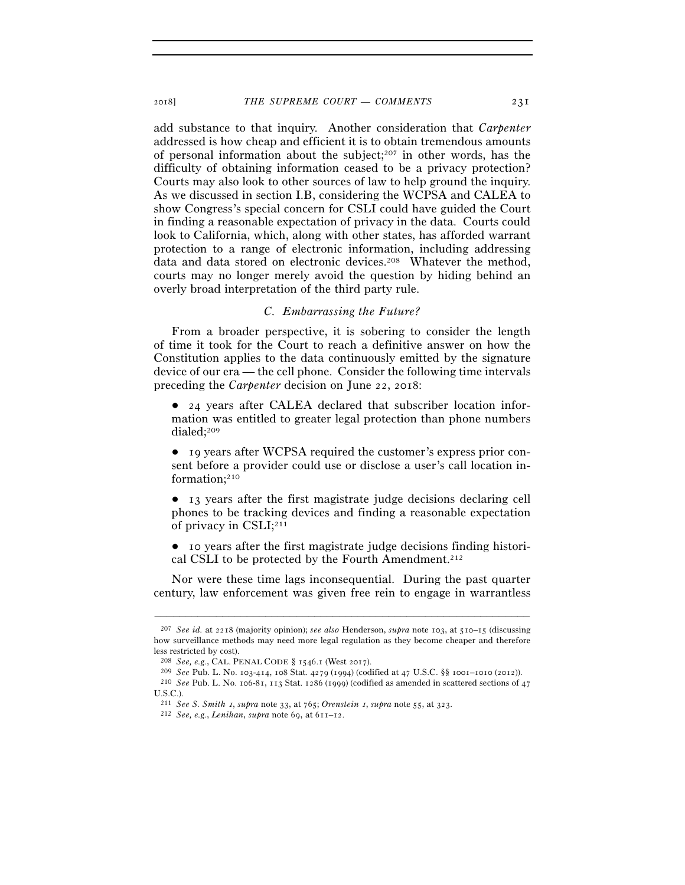add substance to that inquiry. Another consideration that *Carpenter* addressed is how cheap and efficient it is to obtain tremendous amounts of personal information about the subject;207 in other words, has the difficulty of obtaining information ceased to be a privacy protection? Courts may also look to other sources of law to help ground the inquiry. As we discussed in section I.B, considering the WCPSA and CALEA to show Congress's special concern for CSLI could have guided the Court in finding a reasonable expectation of privacy in the data. Courts could look to California, which, along with other states, has afforded warrant protection to a range of electronic information, including addressing data and data stored on electronic devices.<sup>208</sup> Whatever the method, courts may no longer merely avoid the question by hiding behind an overly broad interpretation of the third party rule.

## *C. Embarrassing the Future?*

From a broader perspective, it is sobering to consider the length of time it took for the Court to reach a definitive answer on how the Constitution applies to the data continuously emitted by the signature device of our era — the cell phone. Consider the following time intervals preceding the *Carpenter* decision on June 22, 2018:

● 24 years after CALEA declared that subscriber location information was entitled to greater legal protection than phone numbers dialed;209

● 19 years after WCPSA required the customer's express prior consent before a provider could use or disclose a user's call location information;210

● 13 years after the first magistrate judge decisions declaring cell phones to be tracking devices and finding a reasonable expectation of privacy in CSLI;211

● 10 years after the first magistrate judge decisions finding historical CSLI to be protected by the Fourth Amendment.212

Nor were these time lags inconsequential. During the past quarter century, law enforcement was given free rein to engage in warrantless

<sup>207</sup> *See id.* at 2218 (majority opinion); *see also* Henderson, *supra* note 103, at 510–15 (discussing how surveillance methods may need more legal regulation as they become cheaper and therefore less restricted by cost).

<sup>% 208</sup> *See, e.g.*, CAL. PENAL CODE § 1546.1 (West 2017).<br>
<sup>209</sup> *See* Pub. L. No. 103-414, 108 Stat. 4279 (1994) (codified at 47 U.S.C. §§ 1001–1010 (2012)).<br>
<sup>210</sup> *See* Pub. L. No. 106-81, 113 Stat. 1286 (1999) (codifie

U.S.C.).

<sup>211</sup> *See S. Smith* 1, *supra* note 33, at 765; *Orenstein* 1, *supra* note 55, at <sup>323</sup>. 212 *See, e.g.*, *Lenihan*, *supra* note 69, at 611–12.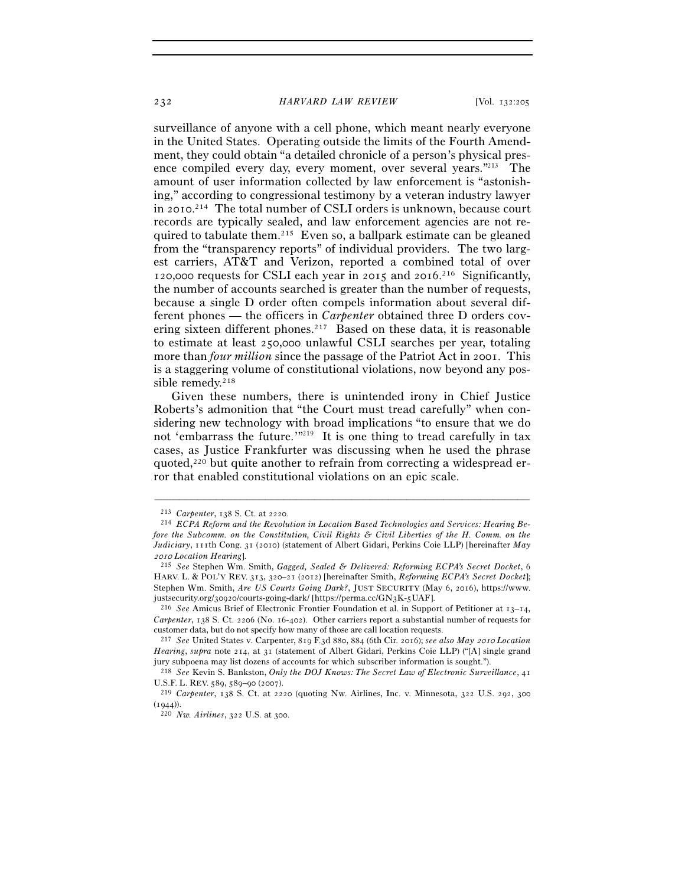#### 232 *HARVARD LAW REVIEW* [Vol. 132:<sup>205</sup>

surveillance of anyone with a cell phone, which meant nearly everyone in the United States. Operating outside the limits of the Fourth Amendment, they could obtain "a detailed chronicle of a person's physical presence compiled every day, every moment, over several years."213 The amount of user information collected by law enforcement is "astonishing," according to congressional testimony by a veteran industry lawyer in 2010. 214 The total number of CSLI orders is unknown, because court records are typically sealed, and law enforcement agencies are not required to tabulate them.215 Even so, a ballpark estimate can be gleaned from the "transparency reports" of individual providers. The two largest carriers, AT&T and Verizon, reported a combined total of over 120,000 requests for CSLI each year in 2015 and 2016. 216 Significantly, the number of accounts searched is greater than the number of requests, because a single D order often compels information about several different phones — the officers in *Carpenter* obtained three D orders covering sixteen different phones.<sup>217</sup> Based on these data, it is reasonable to estimate at least 250,000 unlawful CSLI searches per year, totaling more than *four million* since the passage of the Patriot Act in 2001. This is a staggering volume of constitutional violations, now beyond any possible remedy.<sup>218</sup>

Given these numbers, there is unintended irony in Chief Justice Roberts's admonition that "the Court must tread carefully" when considering new technology with broad implications "to ensure that we do not 'embarrass the future.'"<sup>219</sup> It is one thing to tread carefully in tax cases, as Justice Frankfurter was discussing when he used the phrase quoted,<sup>220</sup> but quite another to refrain from correcting a widespread error that enabled constitutional violations on an epic scale.

<sup>213</sup> *Carpenter*, 138 S. Ct. at <sup>2220</sup>. 214 *ECPA Reform and the Revolution in Location Based Technologies and Services: Hearing Before the Subcomm. on the Constitution, Civil Rights & Civil Liberties of the H. Comm. on the Judiciary*, 111th Cong. 31 (2010) (statement of Albert Gidari, Perkins Coie LLP) [hereinafter *May*  <sup>2010</sup> *Location Hearing*]. 215 *See* Stephen Wm. Smith, *Gagged, Sealed & Delivered: Reforming ECPA's Secret Docket*, <sup>6</sup>

HARV. L. & POL'Y REV. 313, 320–21 (2012) [hereinafter Smith, *Reforming ECPA's Secret Docket*]; Stephen Wm. Smith, *Are US Courts Going Dark?*, JUST SECURITY (May 6, 2016), https://www. justsecurity.org/30920/courts-going-dark/ [https://perma.cc/GN3K-<sup>5</sup>UAF]. 216 *See* Amicus Brief of Electronic Frontier Foundation et al. in Support of Petitioner at 13–14,

*Carpenter*, 138 S. Ct. 2206 (No. 16-402). Other carriers report a substantial number of requests for customer data, but do not specify how many of those are call location requests.

<sup>217</sup> *See* United States v. Carpenter, 819 F.3d 880, 884 (6th Cir. 2016); *see also May* 2010 *Location Hearing*, *supra* note 214, at 31 (statement of Albert Gidari, Perkins Coie LLP) ("[A] single grand jury subpoena may list dozens of accounts for which subscriber information is sought."). 218 *See* Kevin S. Bankston, *Only the DOJ Knows: The Secret Law of Electronic Surveillance*, <sup>41</sup>

U.S.F. L. REV. <sup>589</sup>, 589–90 (<sup>2007</sup>). 219 *Carpenter*, 138 S. Ct. at 2220 (quoting Nw. Airlines, Inc. v. Minnesota, 322 U.S. 292, <sup>300</sup>

<sup>(</sup><sup>1944</sup>)). 220 *Nw. Airlines*, 322 U.S. at 300.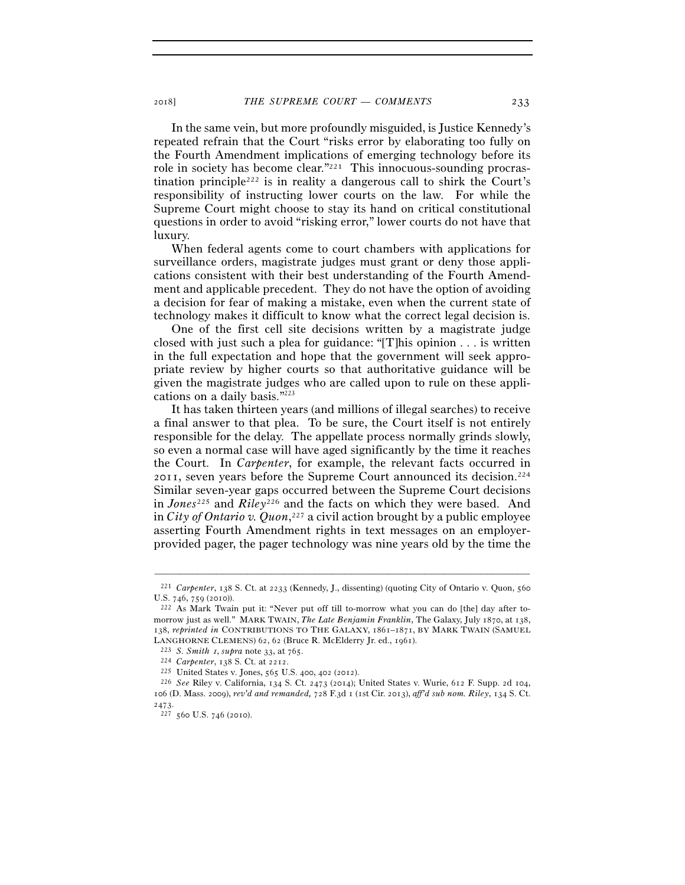In the same vein, but more profoundly misguided, is Justice Kennedy's repeated refrain that the Court "risks error by elaborating too fully on the Fourth Amendment implications of emerging technology before its role in society has become clear."221 This innocuous-sounding procrastination principle<sup>222</sup> is in reality a dangerous call to shirk the Court's responsibility of instructing lower courts on the law. For while the Supreme Court might choose to stay its hand on critical constitutional questions in order to avoid "risking error," lower courts do not have that luxury.

When federal agents come to court chambers with applications for surveillance orders, magistrate judges must grant or deny those applications consistent with their best understanding of the Fourth Amendment and applicable precedent. They do not have the option of avoiding a decision for fear of making a mistake, even when the current state of technology makes it difficult to know what the correct legal decision is.

One of the first cell site decisions written by a magistrate judge closed with just such a plea for guidance: "[T]his opinion . . . is written in the full expectation and hope that the government will seek appropriate review by higher courts so that authoritative guidance will be given the magistrate judges who are called upon to rule on these applications on a daily basis."223

It has taken thirteen years (and millions of illegal searches) to receive a final answer to that plea. To be sure, the Court itself is not entirely responsible for the delay. The appellate process normally grinds slowly, so even a normal case will have aged significantly by the time it reaches the Court. In *Carpenter*, for example, the relevant facts occurred in 2011, seven years before the Supreme Court announced its decision.224 Similar seven-year gaps occurred between the Supreme Court decisions in *Jones*225 and *Riley*226 and the facts on which they were based. And in *City of Ontario v. Quon*, 227 a civil action brought by a public employee asserting Fourth Amendment rights in text messages on an employerprovided pager, the pager technology was nine years old by the time the

<sup>–––––––––––––––––––––––––––––––––––––––––––––––––––––––––––––</sup> <sup>221</sup> *Carpenter*, 138 S. Ct. at 2233 (Kennedy, J., dissenting) (quoting City of Ontario v. Quon, 560 U.S. 746, 759 (2010)).<br><sup>222</sup> As Mark Twain put it: "Never put off till to-morrow what you can do [the] day after to-

morrow just as well." MARK TWAIN, *The Late Benjamin Franklin*, The Galaxy, July 1870, at 138, 138, *reprinted in* CONTRIBUTIONS TO THE GALAXY, 1861–1871, BY MARK TWAIN (SAMUEL

LANGHORNE CLEMENS) 62, 62 (Bruce R. McElderry Jr. ed., 1961).<br>
<sup>223</sup> S. Smith 1, supra note 33, at 765.<br>
<sup>224</sup> Carpenter, 138 S. Ct. at 2212.<br>
<sup>225</sup> United States v. Jones, 565 U.S. 400, 402 (2012).<br>
<sup>226</sup> See Riley v. Ca 106 (D. Mass. 2009), *rev'd and remanded,* 728 F.3d 1 (1st Cir. 2013), *aff'd sub nom. Riley*, 134 S. Ct.

<sup>2473.&</sup>lt;br><sup>227</sup> 560 U.S. 746 (2010).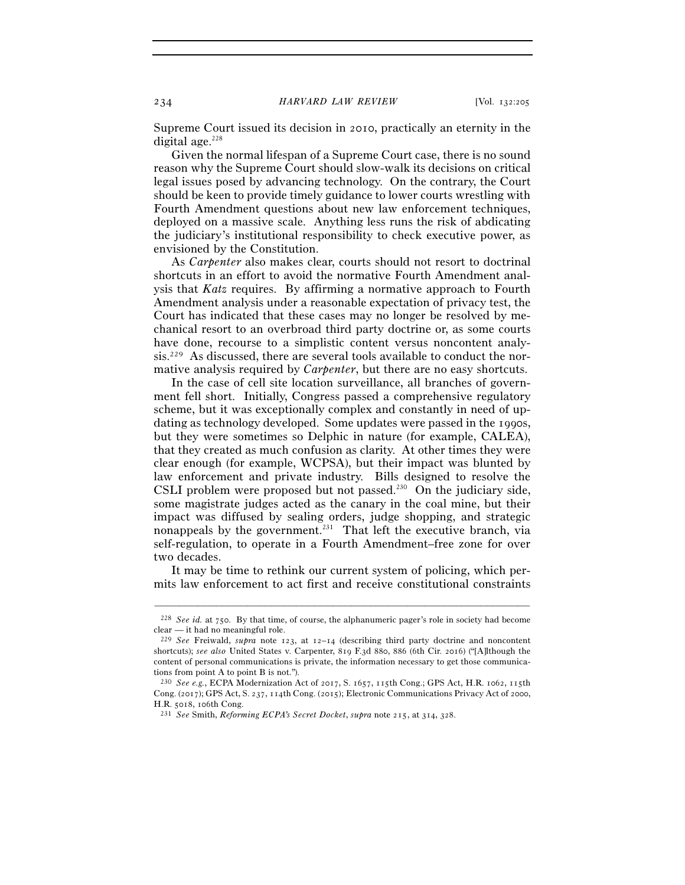Supreme Court issued its decision in 2010, practically an eternity in the digital age. $228$ 

Given the normal lifespan of a Supreme Court case, there is no sound reason why the Supreme Court should slow-walk its decisions on critical legal issues posed by advancing technology. On the contrary, the Court should be keen to provide timely guidance to lower courts wrestling with Fourth Amendment questions about new law enforcement techniques, deployed on a massive scale. Anything less runs the risk of abdicating the judiciary's institutional responsibility to check executive power, as envisioned by the Constitution.

As *Carpenter* also makes clear, courts should not resort to doctrinal shortcuts in an effort to avoid the normative Fourth Amendment analysis that *Katz* requires. By affirming a normative approach to Fourth Amendment analysis under a reasonable expectation of privacy test, the Court has indicated that these cases may no longer be resolved by mechanical resort to an overbroad third party doctrine or, as some courts have done, recourse to a simplistic content versus noncontent analysis.229 As discussed, there are several tools available to conduct the normative analysis required by *Carpenter*, but there are no easy shortcuts.

In the case of cell site location surveillance, all branches of government fell short. Initially, Congress passed a comprehensive regulatory scheme, but it was exceptionally complex and constantly in need of updating as technology developed. Some updates were passed in the 1990s, but they were sometimes so Delphic in nature (for example, CALEA), that they created as much confusion as clarity. At other times they were clear enough (for example, WCPSA), but their impact was blunted by law enforcement and private industry. Bills designed to resolve the CSLI problem were proposed but not passed.<sup>230</sup> On the judiciary side, some magistrate judges acted as the canary in the coal mine, but their impact was diffused by sealing orders, judge shopping, and strategic nonappeals by the government.<sup>231</sup> That left the executive branch, via self-regulation, to operate in a Fourth Amendment–free zone for over two decades.

It may be time to rethink our current system of policing, which permits law enforcement to act first and receive constitutional constraints

<sup>–––––––––––––––––––––––––––––––––––––––––––––––––––––––––––––</sup> <sup>228</sup> *See id.* at 750. By that time, of course, the alphanumeric pager's role in society had become clear — it had no meaningful role.

<sup>&</sup>lt;sup>229</sup> See Freiwald, *supra* note 123, at 12-14 (describing third party doctrine and noncontent shortcuts); *see also* United States v. Carpenter, 819 F.3d 880, 886 (6th Cir. 2016) ("[A]lthough the content of personal communications is private, the information necessary to get those communications from point A to point B is not.").

<sup>230</sup> *See e.g.*, ECPA Modernization Act of 2017, S. 1657, 115th Cong.; GPS Act, H.R. 1062, 115th Cong. (2017); GPS Act, S. 237, 114th Cong. (2015); Electronic Communications Privacy Act of 2000, H.R. 5018, <sup>106</sup>th Cong. 231 *See* Smith, *Reforming ECPA's Secret Docket*, *supra* note 215, at 314, 328.